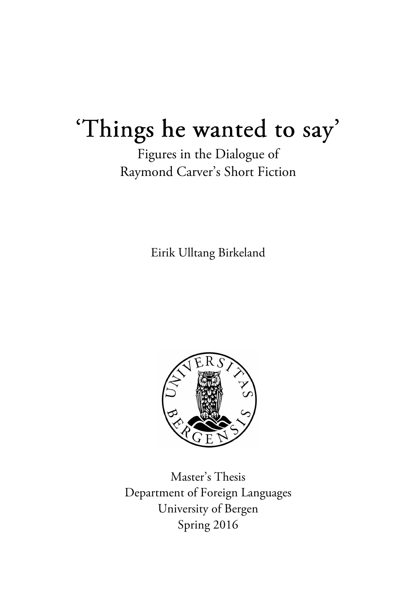# 'Things he wanted to say'

Figures in the Dialogue of Raymond Carver's Short Fiction

Eirik Ulltang Birkeland



Master's Thesis Department of Foreign Languages University of Bergen Spring 2016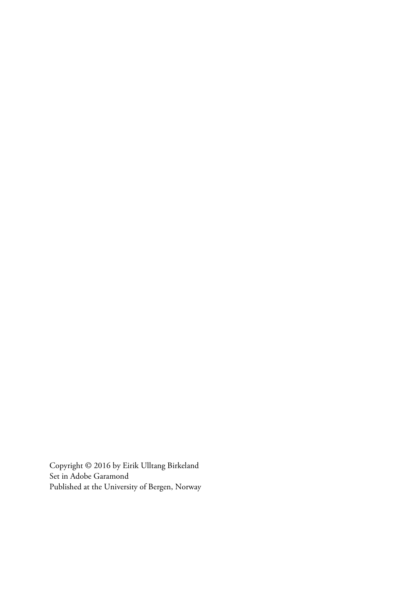Copyright © 2016 by Eirik Ulltang Birkeland Set in Adobe Garamond Published at the University of Bergen, Norway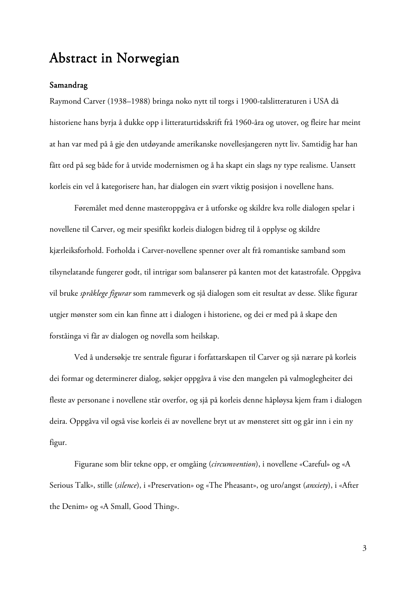## Abstract in Norwegian

#### Samandrag

Raymond Carver (1938–1988) bringa noko nytt til torgs i 1900-talslitteraturen i USA då historiene hans byrja å dukke opp i litteraturtidsskrift frå 1960-åra og utover, og fleire har meint at han var med på å gje den utdøyande amerikanske novellesjangeren nytt liv. Samtidig har han fått ord på seg både for å utvide modernismen og å ha skapt ein slags ny type realisme. Uansett korleis ein vel å kategorisere han, har dialogen ein svært viktig posisjon i novellene hans.

 Føremålet med denne masteroppgåva er å utforske og skildre kva rolle dialogen spelar i novellene til Carver, og meir spesifikt korleis dialogen bidreg til å opplyse og skildre kjærleiksforhold. Forholda i Carver-novellene spenner over alt frå romantiske samband som tilsynelatande fungerer godt, til intrigar som balanserer på kanten mot det katastrofale. Oppgåva vil bruke *språklege figurar* som rammeverk og sjå dialogen som eit resultat av desse. Slike figurar utgjer mønster som ein kan finne att i dialogen i historiene, og dei er med på å skape den forståinga vi får av dialogen og novella som heilskap.

Ved å undersøkje tre sentrale figurar i forfattarskapen til Carver og sjå nærare på korleis dei formar og determinerer dialog, søkjer oppgåva å vise den mangelen på valmoglegheiter dei fleste av personane i novellene står overfor, og sjå på korleis denne håpløysa kjem fram i dialogen deira. Oppgåva vil også vise korleis éi av novellene bryt ut av mønsteret sitt og går inn i ein ny figur.

Figurane som blir tekne opp, er omgåing (*circumvention*), i novellene «Careful» og «A Serious Talk», stille (*silence*), i «Preservation» og «The Pheasant», og uro/angst (*anxiety*), i «After the Denim» og «A Small, Good Thing».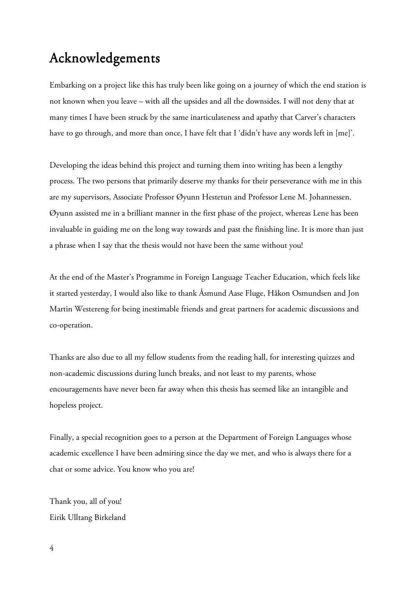# Acknowledgements

Embarking on a project like this has truly been like going on a journey of which the end station is not known when you leave – with all the upsides and all the downsides. I will not deny that at many times I have been struck by the same inarticulateness and apathy that Carver's characters have to go through, and more than once, I have felt that I 'didn't have any words left in [me]'.

Developing the ideas behind this project and turning them into writing has been a lengthy process. The two persons that primarily deserve my thanks for their perseverance with me in this are my supervisors, Associate Professor Øyunn Hestetun and Professor Lene M. Johannessen. Øyunn assisted me in a brilliant manner in the first phase of the project, whereas Lene has been invaluable in guiding me on the long way towards and past the finishing line. It is more than just a phrase when I say that the thesis would not have been the same without you!

At the end of the Master's Programme in Foreign Language Teacher Education, which feels like it started yesterday, I would also like to thank Åsmund Aase Fluge, Håkon Osmundsen and Jon Martin Westereng for being inestimable friends and great partners for academic discussions and co-operation.

Thanks are also due to all my fellow students from the reading hall, for interesting quizzes and non-academic discussions during lunch breaks, and not least to my parents, whose encouragements have never been far away when this thesis has seemed like an intangible and hopeless project.

Finally, a special recognition goes to a person at the Department of Foreign Languages whose academic excellence I have been admiring since the day we met, and who is always there for a chat or some advice. You know who you are!

Thank you, all of you! Eirik Ulltang Birkeland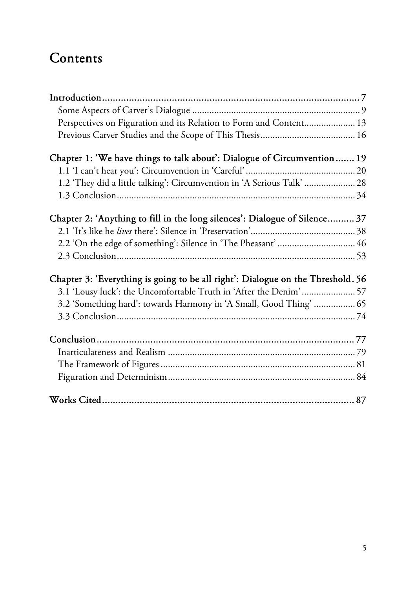# Contents

| Perspectives on Figuration and its Relation to Form and Content 13              |  |
|---------------------------------------------------------------------------------|--|
|                                                                                 |  |
| Chapter 1: 'We have things to talk about': Dialogue of Circumvention 19         |  |
|                                                                                 |  |
| 1.2 'They did a little talking': Circumvention in 'A Serious Talk'  28          |  |
|                                                                                 |  |
| Chapter 2: 'Anything to fill in the long silences': Dialogue of Silence 37      |  |
|                                                                                 |  |
| 2.2 'On the edge of something': Silence in 'The Pheasant'  46                   |  |
|                                                                                 |  |
| Chapter 3: 'Everything is going to be all right': Dialogue on the Threshold. 56 |  |
| 3.1 'Lousy luck': the Uncomfortable Truth in 'After the Denim'  57              |  |
| 3.2 'Something hard': towards Harmony in 'A Small, Good Thing'  65              |  |
|                                                                                 |  |
|                                                                                 |  |
|                                                                                 |  |
|                                                                                 |  |
|                                                                                 |  |
|                                                                                 |  |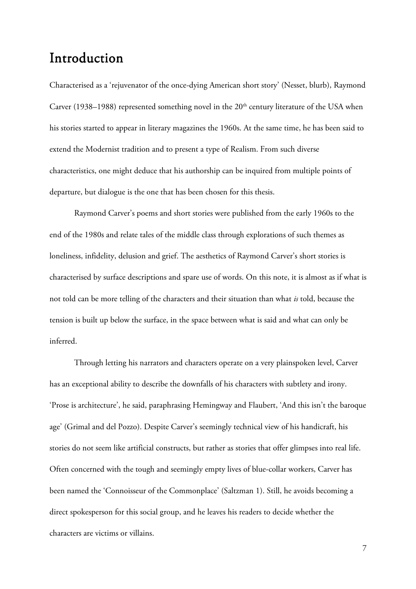### Introduction

Characterised as a 'rejuvenator of the once-dying American short story' (Nesset, blurb), Raymond Carver (1938–1988) represented something novel in the 20<sup>th</sup> century literature of the USA when his stories started to appear in literary magazines the 1960s. At the same time, he has been said to extend the Modernist tradition and to present a type of Realism. From such diverse characteristics, one might deduce that his authorship can be inquired from multiple points of departure, but dialogue is the one that has been chosen for this thesis.

Raymond Carver's poems and short stories were published from the early 1960s to the end of the 1980s and relate tales of the middle class through explorations of such themes as loneliness, infidelity, delusion and grief. The aesthetics of Raymond Carver's short stories is characterised by surface descriptions and spare use of words. On this note, it is almost as if what is not told can be more telling of the characters and their situation than what *is* told, because the tension is built up below the surface, in the space between what is said and what can only be inferred.

Through letting his narrators and characters operate on a very plainspoken level, Carver has an exceptional ability to describe the downfalls of his characters with subtlety and irony. 'Prose is architecture', he said, paraphrasing Hemingway and Flaubert, 'And this isn't the baroque age' (Grimal and del Pozzo). Despite Carver's seemingly technical view of his handicraft, his stories do not seem like artificial constructs, but rather as stories that offer glimpses into real life. Often concerned with the tough and seemingly empty lives of blue-collar workers, Carver has been named the 'Connoisseur of the Commonplace' (Saltzman 1). Still, he avoids becoming a direct spokesperson for this social group, and he leaves his readers to decide whether the characters are victims or villains.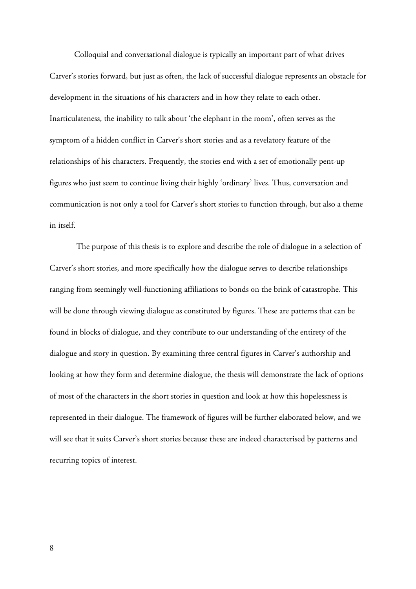Colloquial and conversational dialogue is typically an important part of what drives Carver's stories forward, but just as often, the lack of successful dialogue represents an obstacle for development in the situations of his characters and in how they relate to each other. Inarticulateness, the inability to talk about 'the elephant in the room', often serves as the symptom of a hidden conflict in Carver's short stories and as a revelatory feature of the relationships of his characters. Frequently, the stories end with a set of emotionally pent-up figures who just seem to continue living their highly 'ordinary' lives. Thus, conversation and communication is not only a tool for Carver's short stories to function through, but also a theme in itself.

 The purpose of this thesis is to explore and describe the role of dialogue in a selection of Carver's short stories, and more specifically how the dialogue serves to describe relationships ranging from seemingly well-functioning affiliations to bonds on the brink of catastrophe. This will be done through viewing dialogue as constituted by figures. These are patterns that can be found in blocks of dialogue, and they contribute to our understanding of the entirety of the dialogue and story in question. By examining three central figures in Carver's authorship and looking at how they form and determine dialogue, the thesis will demonstrate the lack of options of most of the characters in the short stories in question and look at how this hopelessness is represented in their dialogue. The framework of figures will be further elaborated below, and we will see that it suits Carver's short stories because these are indeed characterised by patterns and recurring topics of interest.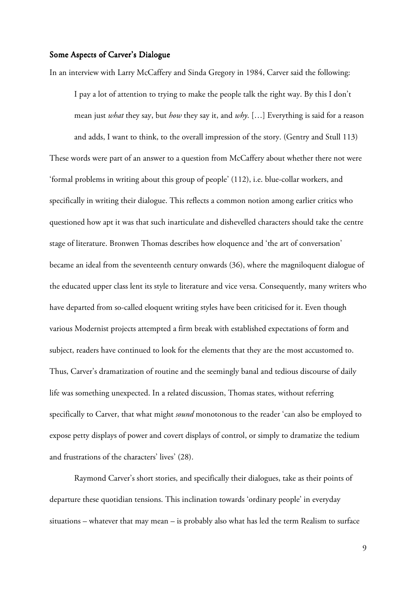#### Some Aspects of Carver's Dialogue

In an interview with Larry McCaffery and Sinda Gregory in 1984, Carver said the following:

I pay a lot of attention to trying to make the people talk the right way. By this I don't mean just *what* they say, but *how* they say it, and *why*. […] Everything is said for a reason and adds, I want to think, to the overall impression of the story. (Gentry and Stull 113) These words were part of an answer to a question from McCaffery about whether there not were 'formal problems in writing about this group of people' (112), i.e. blue-collar workers, and specifically in writing their dialogue. This reflects a common notion among earlier critics who questioned how apt it was that such inarticulate and dishevelled characters should take the centre stage of literature. Bronwen Thomas describes how eloquence and 'the art of conversation' became an ideal from the seventeenth century onwards (36), where the magniloquent dialogue of the educated upper class lent its style to literature and vice versa. Consequently, many writers who have departed from so-called eloquent writing styles have been criticised for it. Even though various Modernist projects attempted a firm break with established expectations of form and subject, readers have continued to look for the elements that they are the most accustomed to. Thus, Carver's dramatization of routine and the seemingly banal and tedious discourse of daily life was something unexpected. In a related discussion, Thomas states, without referring specifically to Carver, that what might *sound* monotonous to the reader 'can also be employed to expose petty displays of power and covert displays of control, or simply to dramatize the tedium and frustrations of the characters' lives' (28).

 Raymond Carver's short stories, and specifically their dialogues, take as their points of departure these quotidian tensions. This inclination towards 'ordinary people' in everyday situations – whatever that may mean – is probably also what has led the term Realism to surface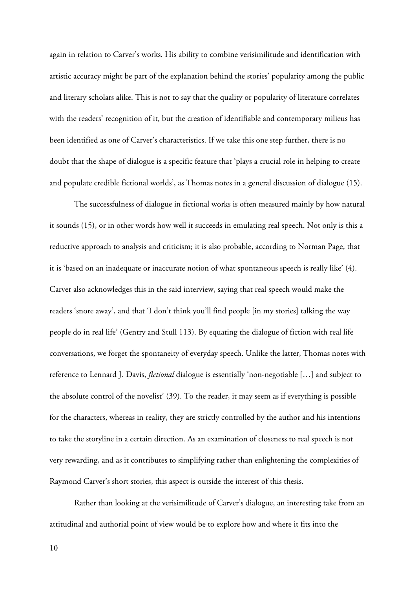again in relation to Carver's works. His ability to combine verisimilitude and identification with artistic accuracy might be part of the explanation behind the stories' popularity among the public and literary scholars alike. This is not to say that the quality or popularity of literature correlates with the readers' recognition of it, but the creation of identifiable and contemporary milieus has been identified as one of Carver's characteristics. If we take this one step further, there is no doubt that the shape of dialogue is a specific feature that 'plays a crucial role in helping to create and populate credible fictional worlds', as Thomas notes in a general discussion of dialogue (15).

The successfulness of dialogue in fictional works is often measured mainly by how natural it sounds (15), or in other words how well it succeeds in emulating real speech. Not only is this a reductive approach to analysis and criticism; it is also probable, according to Norman Page, that it is 'based on an inadequate or inaccurate notion of what spontaneous speech is really like' (4). Carver also acknowledges this in the said interview, saying that real speech would make the readers 'snore away', and that 'I don't think you'll find people [in my stories] talking the way people do in real life' (Gentry and Stull 113). By equating the dialogue of fiction with real life conversations, we forget the spontaneity of everyday speech. Unlike the latter, Thomas notes with reference to Lennard J. Davis, *fictional* dialogue is essentially 'non-negotiable […] and subject to the absolute control of the novelist' (39). To the reader, it may seem as if everything is possible for the characters, whereas in reality, they are strictly controlled by the author and his intentions to take the storyline in a certain direction. As an examination of closeness to real speech is not very rewarding, and as it contributes to simplifying rather than enlightening the complexities of Raymond Carver's short stories, this aspect is outside the interest of this thesis.

 Rather than looking at the verisimilitude of Carver's dialogue, an interesting take from an attitudinal and authorial point of view would be to explore how and where it fits into the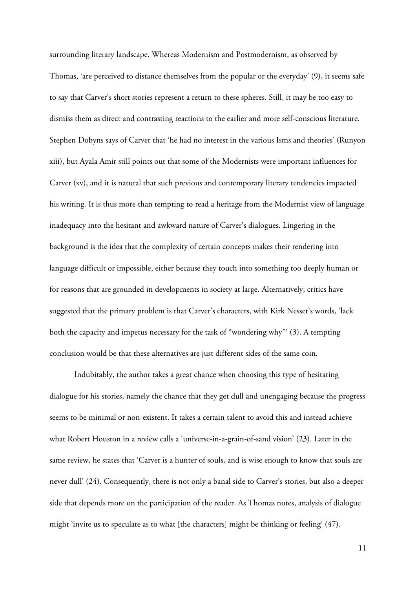surrounding literary landscape. Whereas Modernism and Postmodernism, as observed by Thomas, 'are perceived to distance themselves from the popular or the everyday' (9), it seems safe to say that Carver's short stories represent a return to these spheres. Still, it may be too easy to dismiss them as direct and contrasting reactions to the earlier and more self-conscious literature. Stephen Dobyns says of Carver that 'he had no interest in the various Isms and theories' (Runyon xiii), but Ayala Amir still points out that some of the Modernists were important influences for Carver (xv), and it is natural that such previous and contemporary literary tendencies impacted his writing. It is thus more than tempting to read a heritage from the Modernist view of language inadequacy into the hesitant and awkward nature of Carver's dialogues. Lingering in the background is the idea that the complexity of certain concepts makes their rendering into language difficult or impossible, either because they touch into something too deeply human or for reasons that are grounded in developments in society at large. Alternatively, critics have suggested that the primary problem is that Carver's characters, with Kirk Nesset's words, 'lack both the capacity and impetus necessary for the task of "wondering why"' (3). A tempting conclusion would be that these alternatives are just different sides of the same coin.

 Indubitably, the author takes a great chance when choosing this type of hesitating dialogue for his stories, namely the chance that they get dull and unengaging because the progress seems to be minimal or non-existent. It takes a certain talent to avoid this and instead achieve what Robert Houston in a review calls a 'universe-in-a-grain-of-sand vision' (23). Later in the same review, he states that 'Carver is a hunter of souls, and is wise enough to know that souls are never dull' (24). Consequently, there is not only a banal side to Carver's stories, but also a deeper side that depends more on the participation of the reader. As Thomas notes, analysis of dialogue might 'invite us to speculate as to what [the characters] might be thinking or feeling' (47).

11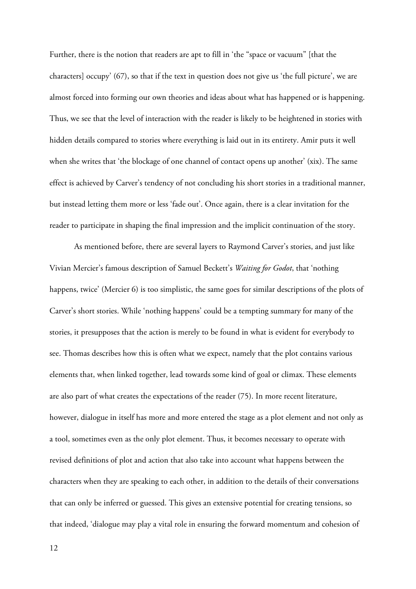Further, there is the notion that readers are apt to fill in 'the "space or vacuum" [that the characters] occupy' (67), so that if the text in question does not give us 'the full picture', we are almost forced into forming our own theories and ideas about what has happened or is happening. Thus, we see that the level of interaction with the reader is likely to be heightened in stories with hidden details compared to stories where everything is laid out in its entirety. Amir puts it well when she writes that 'the blockage of one channel of contact opens up another' (xix). The same effect is achieved by Carver's tendency of not concluding his short stories in a traditional manner, but instead letting them more or less 'fade out'. Once again, there is a clear invitation for the reader to participate in shaping the final impression and the implicit continuation of the story.

 As mentioned before, there are several layers to Raymond Carver's stories, and just like Vivian Mercier's famous description of Samuel Beckett's *Waiting for Godot*, that 'nothing happens, twice' (Mercier 6) is too simplistic, the same goes for similar descriptions of the plots of Carver's short stories. While 'nothing happens' could be a tempting summary for many of the stories, it presupposes that the action is merely to be found in what is evident for everybody to see. Thomas describes how this is often what we expect, namely that the plot contains various elements that, when linked together, lead towards some kind of goal or climax. These elements are also part of what creates the expectations of the reader (75). In more recent literature, however, dialogue in itself has more and more entered the stage as a plot element and not only as a tool, sometimes even as the only plot element. Thus, it becomes necessary to operate with revised definitions of plot and action that also take into account what happens between the characters when they are speaking to each other, in addition to the details of their conversations that can only be inferred or guessed. This gives an extensive potential for creating tensions, so that indeed, 'dialogue may play a vital role in ensuring the forward momentum and cohesion of

12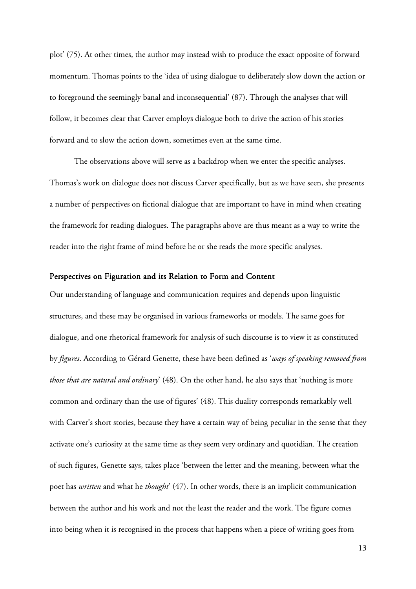plot' (75). At other times, the author may instead wish to produce the exact opposite of forward momentum. Thomas points to the 'idea of using dialogue to deliberately slow down the action or to foreground the seemingly banal and inconsequential' (87). Through the analyses that will follow, it becomes clear that Carver employs dialogue both to drive the action of his stories forward and to slow the action down, sometimes even at the same time.

The observations above will serve as a backdrop when we enter the specific analyses. Thomas's work on dialogue does not discuss Carver specifically, but as we have seen, she presents a number of perspectives on fictional dialogue that are important to have in mind when creating the framework for reading dialogues. The paragraphs above are thus meant as a way to write the reader into the right frame of mind before he or she reads the more specific analyses.

#### Perspectives on Figuration and its Relation to Form and Content

Our understanding of language and communication requires and depends upon linguistic structures, and these may be organised in various frameworks or models. The same goes for dialogue, and one rhetorical framework for analysis of such discourse is to view it as constituted by *figures*. According to Gérard Genette, these have been defined as '*ways of speaking removed from those that are natural and ordinary*' (48). On the other hand, he also says that 'nothing is more common and ordinary than the use of figures' (48). This duality corresponds remarkably well with Carver's short stories, because they have a certain way of being peculiar in the sense that they activate one's curiosity at the same time as they seem very ordinary and quotidian. The creation of such figures, Genette says, takes place 'between the letter and the meaning, between what the poet has *written* and what he *thought*' (47). In other words, there is an implicit communication between the author and his work and not the least the reader and the work. The figure comes into being when it is recognised in the process that happens when a piece of writing goes from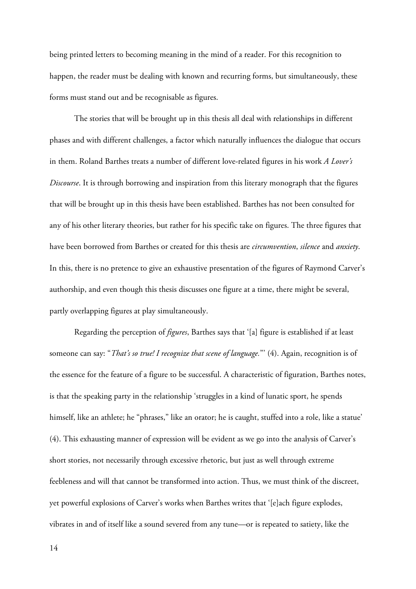being printed letters to becoming meaning in the mind of a reader. For this recognition to happen, the reader must be dealing with known and recurring forms, but simultaneously, these forms must stand out and be recognisable as figures.

The stories that will be brought up in this thesis all deal with relationships in different phases and with different challenges, a factor which naturally influences the dialogue that occurs in them. Roland Barthes treats a number of different love-related figures in his work *A Lover's Discourse*. It is through borrowing and inspiration from this literary monograph that the figures that will be brought up in this thesis have been established. Barthes has not been consulted for any of his other literary theories, but rather for his specific take on figures. The three figures that have been borrowed from Barthes or created for this thesis are *circumvention*, *silence* and *anxiety*. In this, there is no pretence to give an exhaustive presentation of the figures of Raymond Carver's authorship, and even though this thesis discusses one figure at a time, there might be several, partly overlapping figures at play simultaneously.

Regarding the perception of *figures*, Barthes says that '[a] figure is established if at least someone can say: "*That's so true! I recognize that scene of language.*"' (4). Again, recognition is of the essence for the feature of a figure to be successful. A characteristic of figuration, Barthes notes, is that the speaking party in the relationship 'struggles in a kind of lunatic sport, he spends himself, like an athlete; he "phrases," like an orator; he is caught, stuffed into a role, like a statue' (4). This exhausting manner of expression will be evident as we go into the analysis of Carver's short stories, not necessarily through excessive rhetoric, but just as well through extreme feebleness and will that cannot be transformed into action. Thus, we must think of the discreet, yet powerful explosions of Carver's works when Barthes writes that '[e]ach figure explodes, vibrates in and of itself like a sound severed from any tune—or is repeated to satiety, like the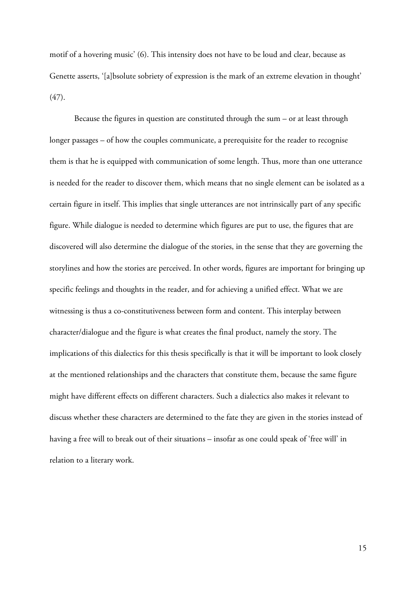motif of a hovering music' (6). This intensity does not have to be loud and clear, because as Genette asserts, '[a]bsolute sobriety of expression is the mark of an extreme elevation in thought' (47).

Because the figures in question are constituted through the sum – or at least through longer passages – of how the couples communicate, a prerequisite for the reader to recognise them is that he is equipped with communication of some length. Thus, more than one utterance is needed for the reader to discover them, which means that no single element can be isolated as a certain figure in itself. This implies that single utterances are not intrinsically part of any specific figure. While dialogue is needed to determine which figures are put to use, the figures that are discovered will also determine the dialogue of the stories, in the sense that they are governing the storylines and how the stories are perceived. In other words, figures are important for bringing up specific feelings and thoughts in the reader, and for achieving a unified effect. What we are witnessing is thus a co-constitutiveness between form and content. This interplay between character/dialogue and the figure is what creates the final product, namely the story. The implications of this dialectics for this thesis specifically is that it will be important to look closely at the mentioned relationships and the characters that constitute them, because the same figure might have different effects on different characters. Such a dialectics also makes it relevant to discuss whether these characters are determined to the fate they are given in the stories instead of having a free will to break out of their situations – insofar as one could speak of 'free will' in relation to a literary work.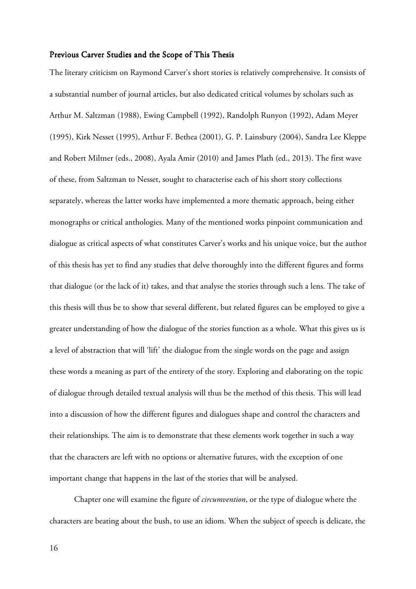#### Previous Carver Studies and the Scope of This Thesis

The literary criticism on Raymond Carver's short stories is relatively comprehensive. It consists of a substantial number of journal articles, but also dedicated critical volumes by scholars such as Arthur M. Saltzman (1988), Ewing Campbell (1992), Randolph Runyon (1992), Adam Meyer (1995), Kirk Nesset (1995), Arthur F. Bethea (2001), G. P. Lainsbury (2004), Sandra Lee Kleppe and Robert Miltner (eds., 2008), Ayala Amir (2010) and James Plath (ed., 2013). The first wave of these, from Saltzman to Nesset, sought to characterise each of his short story collections separately, whereas the latter works have implemented a more thematic approach, being either monographs or critical anthologies. Many of the mentioned works pinpoint communication and dialogue as critical aspects of what constitutes Carver's works and his unique voice, but the author of this thesis has yet to find any studies that delve thoroughly into the different figures and forms that dialogue (or the lack of it) takes, and that analyse the stories through such a lens. The take of this thesis will thus be to show that several different, but related figures can be employed to give a greater understanding of how the dialogue of the stories function as a whole. What this gives us is a level of abstraction that will 'lift' the dialogue from the single words on the page and assign these words a meaning as part of the entirety of the story. Exploring and elaborating on the topic of dialogue through detailed textual analysis will thus be the method of this thesis. This will lead into a discussion of how the different figures and dialogues shape and control the characters and their relationships. The aim is to demonstrate that these elements work together in such a way that the characters are left with no options or alternative futures, with the exception of one important change that happens in the last of the stories that will be analysed.

Chapter one will examine the figure of *circumvention*, or the type of dialogue where the characters are beating about the bush, to use an idiom. When the subject of speech is delicate, the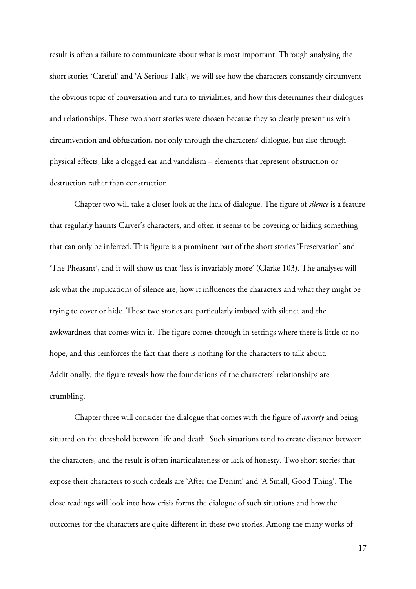result is often a failure to communicate about what is most important. Through analysing the short stories 'Careful' and 'A Serious Talk', we will see how the characters constantly circumvent the obvious topic of conversation and turn to trivialities, and how this determines their dialogues and relationships. These two short stories were chosen because they so clearly present us with circumvention and obfuscation, not only through the characters' dialogue, but also through physical effects, like a clogged ear and vandalism – elements that represent obstruction or destruction rather than construction.

Chapter two will take a closer look at the lack of dialogue. The figure of *silence* is a feature that regularly haunts Carver's characters, and often it seems to be covering or hiding something that can only be inferred. This figure is a prominent part of the short stories 'Preservation' and 'The Pheasant', and it will show us that 'less is invariably more' (Clarke 103). The analyses will ask what the implications of silence are, how it influences the characters and what they might be trying to cover or hide. These two stories are particularly imbued with silence and the awkwardness that comes with it. The figure comes through in settings where there is little or no hope, and this reinforces the fact that there is nothing for the characters to talk about. Additionally, the figure reveals how the foundations of the characters' relationships are crumbling.

Chapter three will consider the dialogue that comes with the figure of *anxiety* and being situated on the threshold between life and death. Such situations tend to create distance between the characters, and the result is often inarticulateness or lack of honesty. Two short stories that expose their characters to such ordeals are 'After the Denim' and 'A Small, Good Thing'. The close readings will look into how crisis forms the dialogue of such situations and how the outcomes for the characters are quite different in these two stories. Among the many works of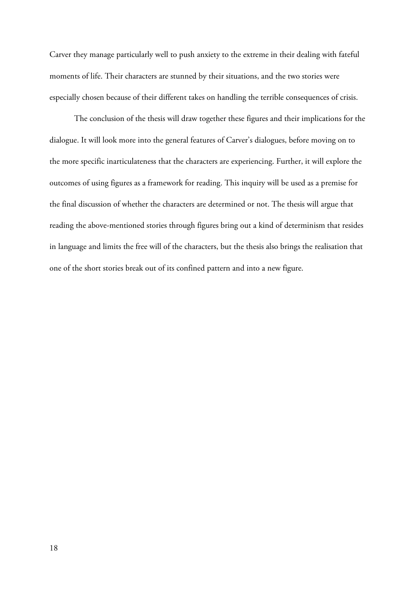Carver they manage particularly well to push anxiety to the extreme in their dealing with fateful moments of life. Their characters are stunned by their situations, and the two stories were especially chosen because of their different takes on handling the terrible consequences of crisis.

The conclusion of the thesis will draw together these figures and their implications for the dialogue. It will look more into the general features of Carver's dialogues, before moving on to the more specific inarticulateness that the characters are experiencing. Further, it will explore the outcomes of using figures as a framework for reading. This inquiry will be used as a premise for the final discussion of whether the characters are determined or not. The thesis will argue that reading the above-mentioned stories through figures bring out a kind of determinism that resides in language and limits the free will of the characters, but the thesis also brings the realisation that one of the short stories break out of its confined pattern and into a new figure.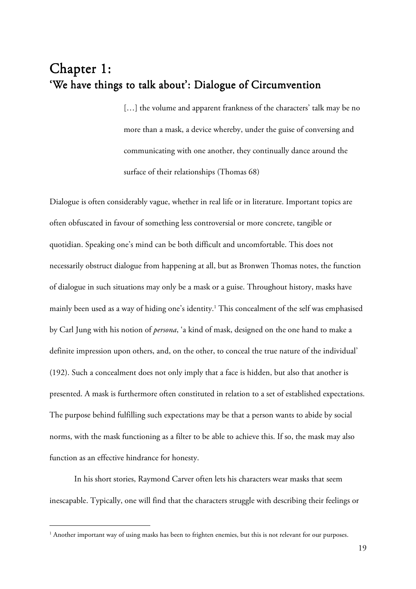# Chapter 1: 'We have things to talk about': Dialogue of Circumvention

[...] the volume and apparent frankness of the characters' talk may be no more than a mask, a device whereby, under the guise of conversing and communicating with one another, they continually dance around the surface of their relationships (Thomas 68)

Dialogue is often considerably vague, whether in real life or in literature. Important topics are often obfuscated in favour of something less controversial or more concrete, tangible or quotidian. Speaking one's mind can be both difficult and uncomfortable. This does not necessarily obstruct dialogue from happening at all, but as Bronwen Thomas notes, the function of dialogue in such situations may only be a mask or a guise. Throughout history, masks have mainly been used as a way of hiding one's identity.<sup>1</sup> This concealment of the self was emphasised by Carl Jung with his notion of *persona*, 'a kind of mask, designed on the one hand to make a definite impression upon others, and, on the other, to conceal the true nature of the individual' (192). Such a concealment does not only imply that a face is hidden, but also that another is presented. A mask is furthermore often constituted in relation to a set of established expectations. The purpose behind fulfilling such expectations may be that a person wants to abide by social norms, with the mask functioning as a filter to be able to achieve this. If so, the mask may also function as an effective hindrance for honesty.

 In his short stories, Raymond Carver often lets his characters wear masks that seem inescapable. Typically, one will find that the characters struggle with describing their feelings or

 $\overline{a}$ 

<sup>&</sup>lt;sup>1</sup> Another important way of using masks has been to frighten enemies, but this is not relevant for our purposes.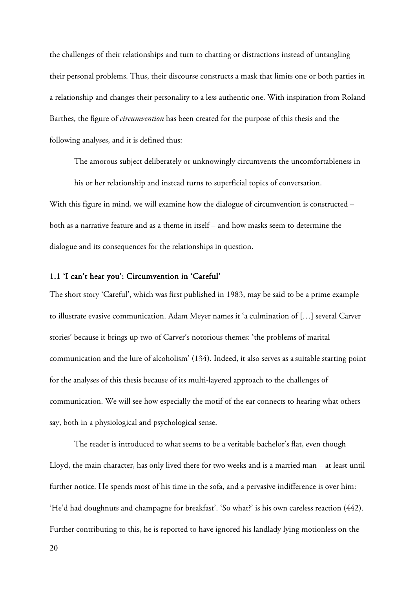the challenges of their relationships and turn to chatting or distractions instead of untangling their personal problems. Thus, their discourse constructs a mask that limits one or both parties in a relationship and changes their personality to a less authentic one. With inspiration from Roland Barthes, the figure of *circumvention* has been created for the purpose of this thesis and the following analyses, and it is defined thus:

The amorous subject deliberately or unknowingly circumvents the uncomfortableness in his or her relationship and instead turns to superficial topics of conversation. With this figure in mind, we will examine how the dialogue of circumvention is constructed – both as a narrative feature and as a theme in itself – and how masks seem to determine the dialogue and its consequences for the relationships in question.

#### 1.1 'I can't hear you': Circumvention in 'Careful'

The short story 'Careful', which was first published in 1983, may be said to be a prime example to illustrate evasive communication. Adam Meyer names it 'a culmination of […] several Carver stories' because it brings up two of Carver's notorious themes: 'the problems of marital communication and the lure of alcoholism' (134). Indeed, it also serves as a suitable starting point for the analyses of this thesis because of its multi-layered approach to the challenges of communication. We will see how especially the motif of the ear connects to hearing what others say, both in a physiological and psychological sense.

The reader is introduced to what seems to be a veritable bachelor's flat, even though Lloyd, the main character, has only lived there for two weeks and is a married man – at least until further notice. He spends most of his time in the sofa, and a pervasive indifference is over him: 'He'd had doughnuts and champagne for breakfast'. 'So what?' is his own careless reaction (442). Further contributing to this, he is reported to have ignored his landlady lying motionless on the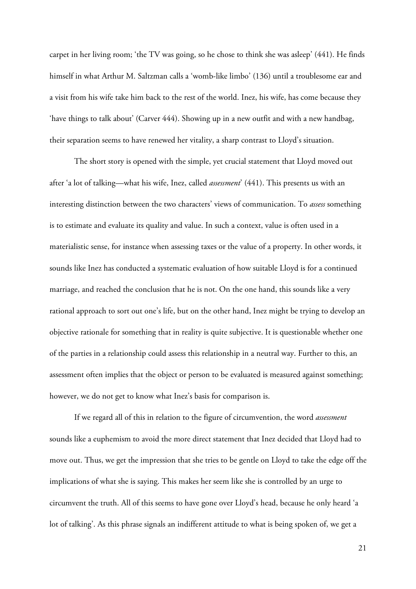carpet in her living room; 'the TV was going, so he chose to think she was asleep' (441). He finds himself in what Arthur M. Saltzman calls a 'womb-like limbo' (136) until a troublesome ear and a visit from his wife take him back to the rest of the world. Inez, his wife, has come because they 'have things to talk about' (Carver 444). Showing up in a new outfit and with a new handbag, their separation seems to have renewed her vitality, a sharp contrast to Lloyd's situation.

The short story is opened with the simple, yet crucial statement that Lloyd moved out after 'a lot of talking—what his wife, Inez, called *assessment*' (441). This presents us with an interesting distinction between the two characters' views of communication. To *assess* something is to estimate and evaluate its quality and value. In such a context, value is often used in a materialistic sense, for instance when assessing taxes or the value of a property. In other words, it sounds like Inez has conducted a systematic evaluation of how suitable Lloyd is for a continued marriage, and reached the conclusion that he is not. On the one hand, this sounds like a very rational approach to sort out one's life, but on the other hand, Inez might be trying to develop an objective rationale for something that in reality is quite subjective. It is questionable whether one of the parties in a relationship could assess this relationship in a neutral way. Further to this, an assessment often implies that the object or person to be evaluated is measured against something; however, we do not get to know what Inez's basis for comparison is.

If we regard all of this in relation to the figure of circumvention, the word *assessment* sounds like a euphemism to avoid the more direct statement that Inez decided that Lloyd had to move out. Thus, we get the impression that she tries to be gentle on Lloyd to take the edge off the implications of what she is saying. This makes her seem like she is controlled by an urge to circumvent the truth. All of this seems to have gone over Lloyd's head, because he only heard 'a lot of talking'. As this phrase signals an indifferent attitude to what is being spoken of, we get a

21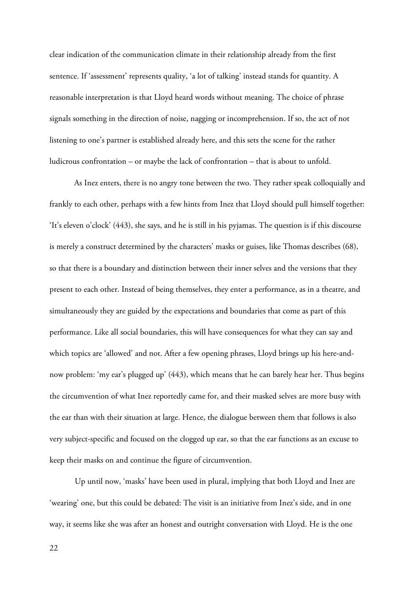clear indication of the communication climate in their relationship already from the first sentence. If 'assessment' represents quality, 'a lot of talking' instead stands for quantity. A reasonable interpretation is that Lloyd heard words without meaning. The choice of phrase signals something in the direction of noise, nagging or incomprehension. If so, the act of not listening to one's partner is established already here, and this sets the scene for the rather ludicrous confrontation – or maybe the lack of confrontation – that is about to unfold.

As Inez enters, there is no angry tone between the two. They rather speak colloquially and frankly to each other, perhaps with a few hints from Inez that Lloyd should pull himself together: 'It's eleven o'clock' (443), she says, and he is still in his pyjamas. The question is if this discourse is merely a construct determined by the characters' masks or guises, like Thomas describes (68), so that there is a boundary and distinction between their inner selves and the versions that they present to each other. Instead of being themselves, they enter a performance, as in a theatre, and simultaneously they are guided by the expectations and boundaries that come as part of this performance. Like all social boundaries, this will have consequences for what they can say and which topics are 'allowed' and not. After a few opening phrases, Lloyd brings up his here-andnow problem: 'my ear's plugged up' (443), which means that he can barely hear her. Thus begins the circumvention of what Inez reportedly came for, and their masked selves are more busy with the ear than with their situation at large. Hence, the dialogue between them that follows is also very subject-specific and focused on the clogged up ear, so that the ear functions as an excuse to keep their masks on and continue the figure of circumvention.

Up until now, 'masks' have been used in plural, implying that both Lloyd and Inez are 'wearing' one, but this could be debated: The visit is an initiative from Inez's side, and in one way, it seems like she was after an honest and outright conversation with Lloyd. He is the one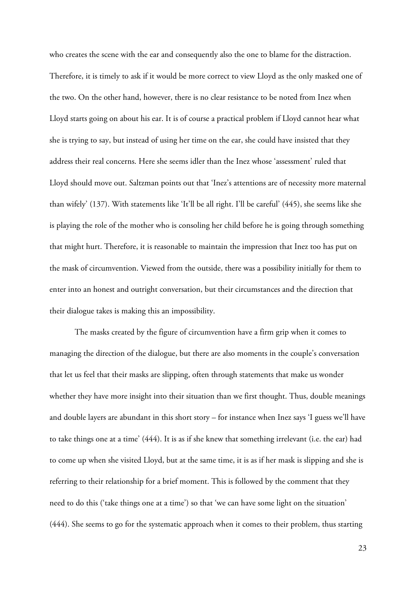who creates the scene with the ear and consequently also the one to blame for the distraction. Therefore, it is timely to ask if it would be more correct to view Lloyd as the only masked one of the two. On the other hand, however, there is no clear resistance to be noted from Inez when Lloyd starts going on about his ear. It is of course a practical problem if Lloyd cannot hear what she is trying to say, but instead of using her time on the ear, she could have insisted that they address their real concerns. Here she seems idler than the Inez whose 'assessment' ruled that Lloyd should move out. Saltzman points out that 'Inez's attentions are of necessity more maternal than wifely' (137). With statements like 'It'll be all right. I'll be careful' (445), she seems like she is playing the role of the mother who is consoling her child before he is going through something that might hurt. Therefore, it is reasonable to maintain the impression that Inez too has put on the mask of circumvention. Viewed from the outside, there was a possibility initially for them to enter into an honest and outright conversation, but their circumstances and the direction that their dialogue takes is making this an impossibility.

The masks created by the figure of circumvention have a firm grip when it comes to managing the direction of the dialogue, but there are also moments in the couple's conversation that let us feel that their masks are slipping, often through statements that make us wonder whether they have more insight into their situation than we first thought. Thus, double meanings and double layers are abundant in this short story – for instance when Inez says 'I guess we'll have to take things one at a time' (444). It is as if she knew that something irrelevant (i.e. the ear) had to come up when she visited Lloyd, but at the same time, it is as if her mask is slipping and she is referring to their relationship for a brief moment. This is followed by the comment that they need to do this ('take things one at a time') so that 'we can have some light on the situation' (444). She seems to go for the systematic approach when it comes to their problem, thus starting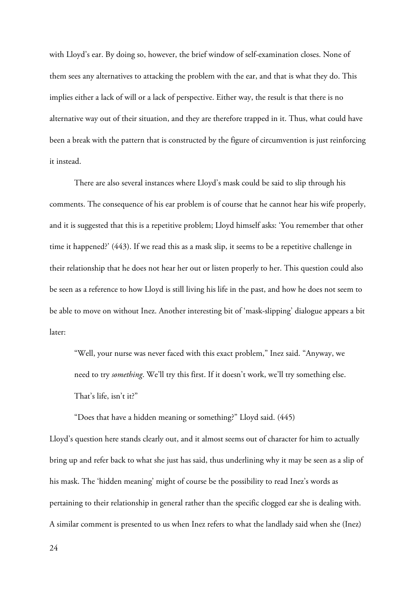with Lloyd's ear. By doing so, however, the brief window of self-examination closes. None of them sees any alternatives to attacking the problem with the ear, and that is what they do. This implies either a lack of will or a lack of perspective. Either way, the result is that there is no alternative way out of their situation, and they are therefore trapped in it. Thus, what could have been a break with the pattern that is constructed by the figure of circumvention is just reinforcing it instead.

There are also several instances where Lloyd's mask could be said to slip through his comments. The consequence of his ear problem is of course that he cannot hear his wife properly, and it is suggested that this is a repetitive problem; Lloyd himself asks: 'You remember that other time it happened?' (443). If we read this as a mask slip, it seems to be a repetitive challenge in their relationship that he does not hear her out or listen properly to her. This question could also be seen as a reference to how Lloyd is still living his life in the past, and how he does not seem to be able to move on without Inez. Another interesting bit of 'mask-slipping' dialogue appears a bit later:

"Well, your nurse was never faced with this exact problem," Inez said. "Anyway, we need to try *something*. We'll try this first. If it doesn't work, we'll try something else. That's life, isn't it?"

"Does that have a hidden meaning or something?" Lloyd said. (445)

Lloyd's question here stands clearly out, and it almost seems out of character for him to actually bring up and refer back to what she just has said, thus underlining why it may be seen as a slip of his mask. The 'hidden meaning' might of course be the possibility to read Inez's words as pertaining to their relationship in general rather than the specific clogged ear she is dealing with. A similar comment is presented to us when Inez refers to what the landlady said when she (Inez)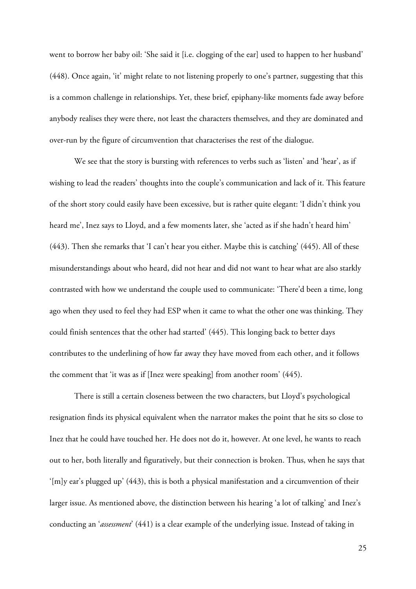went to borrow her baby oil: 'She said it [i.e. clogging of the ear] used to happen to her husband' (448). Once again, 'it' might relate to not listening properly to one's partner, suggesting that this is a common challenge in relationships. Yet, these brief, epiphany-like moments fade away before anybody realises they were there, not least the characters themselves, and they are dominated and over-run by the figure of circumvention that characterises the rest of the dialogue.

We see that the story is bursting with references to verbs such as 'listen' and 'hear', as if wishing to lead the readers' thoughts into the couple's communication and lack of it. This feature of the short story could easily have been excessive, but is rather quite elegant: 'I didn't think you heard me', Inez says to Lloyd, and a few moments later, she 'acted as if she hadn't heard him' (443). Then she remarks that 'I can't hear you either. Maybe this is catching' (445). All of these misunderstandings about who heard, did not hear and did not want to hear what are also starkly contrasted with how we understand the couple used to communicate: 'There'd been a time, long ago when they used to feel they had ESP when it came to what the other one was thinking. They could finish sentences that the other had started' (445). This longing back to better days contributes to the underlining of how far away they have moved from each other, and it follows the comment that 'it was as if [Inez were speaking] from another room' (445).

There is still a certain closeness between the two characters, but Lloyd's psychological resignation finds its physical equivalent when the narrator makes the point that he sits so close to Inez that he could have touched her. He does not do it, however. At one level, he wants to reach out to her, both literally and figuratively, but their connection is broken. Thus, when he says that '[m]y ear's plugged up' (443), this is both a physical manifestation and a circumvention of their larger issue. As mentioned above, the distinction between his hearing 'a lot of talking' and Inez's conducting an '*assessment*' (441) is a clear example of the underlying issue. Instead of taking in

25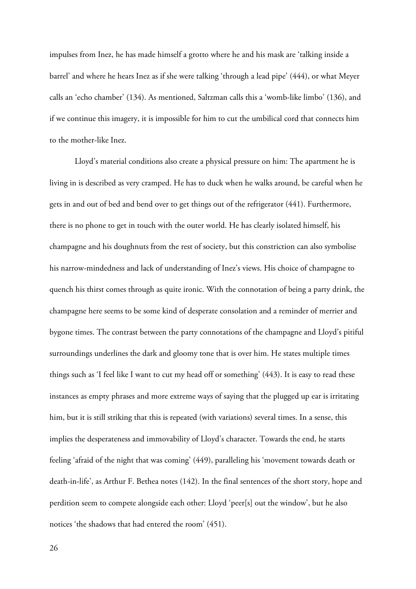impulses from Inez, he has made himself a grotto where he and his mask are 'talking inside a barrel' and where he hears Inez as if she were talking 'through a lead pipe' (444), or what Meyer calls an 'echo chamber' (134). As mentioned, Saltzman calls this a 'womb-like limbo' (136), and if we continue this imagery, it is impossible for him to cut the umbilical cord that connects him to the mother-like Inez.

Lloyd's material conditions also create a physical pressure on him: The apartment he is living in is described as very cramped. He has to duck when he walks around, be careful when he gets in and out of bed and bend over to get things out of the refrigerator (441). Furthermore, there is no phone to get in touch with the outer world. He has clearly isolated himself, his champagne and his doughnuts from the rest of society, but this constriction can also symbolise his narrow-mindedness and lack of understanding of Inez's views. His choice of champagne to quench his thirst comes through as quite ironic. With the connotation of being a party drink, the champagne here seems to be some kind of desperate consolation and a reminder of merrier and bygone times. The contrast between the party connotations of the champagne and Lloyd's pitiful surroundings underlines the dark and gloomy tone that is over him. He states multiple times things such as 'I feel like I want to cut my head off or something' (443). It is easy to read these instances as empty phrases and more extreme ways of saying that the plugged up ear is irritating him, but it is still striking that this is repeated (with variations) several times. In a sense, this implies the desperateness and immovability of Lloyd's character. Towards the end, he starts feeling 'afraid of the night that was coming' (449), paralleling his 'movement towards death or death-in-life', as Arthur F. Bethea notes (142). In the final sentences of the short story, hope and perdition seem to compete alongside each other: Lloyd 'peer[s] out the window', but he also notices 'the shadows that had entered the room' (451).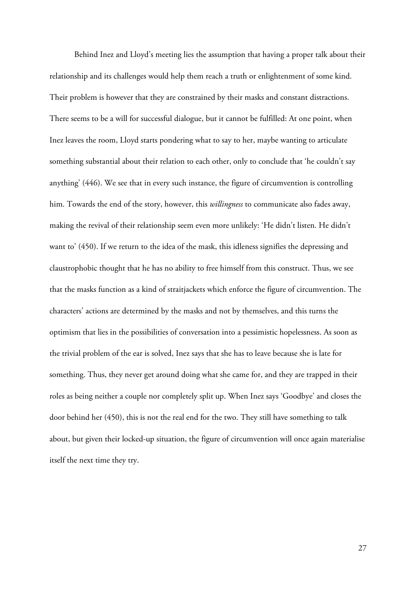Behind Inez and Lloyd's meeting lies the assumption that having a proper talk about their relationship and its challenges would help them reach a truth or enlightenment of some kind. Their problem is however that they are constrained by their masks and constant distractions. There seems to be a will for successful dialogue, but it cannot be fulfilled: At one point, when Inez leaves the room, Lloyd starts pondering what to say to her, maybe wanting to articulate something substantial about their relation to each other, only to conclude that 'he couldn't say anything' (446). We see that in every such instance, the figure of circumvention is controlling him. Towards the end of the story, however, this *willingness* to communicate also fades away, making the revival of their relationship seem even more unlikely: 'He didn't listen. He didn't want to' (450). If we return to the idea of the mask, this idleness signifies the depressing and claustrophobic thought that he has no ability to free himself from this construct. Thus, we see that the masks function as a kind of straitjackets which enforce the figure of circumvention. The characters' actions are determined by the masks and not by themselves, and this turns the optimism that lies in the possibilities of conversation into a pessimistic hopelessness. As soon as the trivial problem of the ear is solved, Inez says that she has to leave because she is late for something. Thus, they never get around doing what she came for, and they are trapped in their roles as being neither a couple nor completely split up. When Inez says 'Goodbye' and closes the door behind her (450), this is not the real end for the two. They still have something to talk about, but given their locked-up situation, the figure of circumvention will once again materialise itself the next time they try.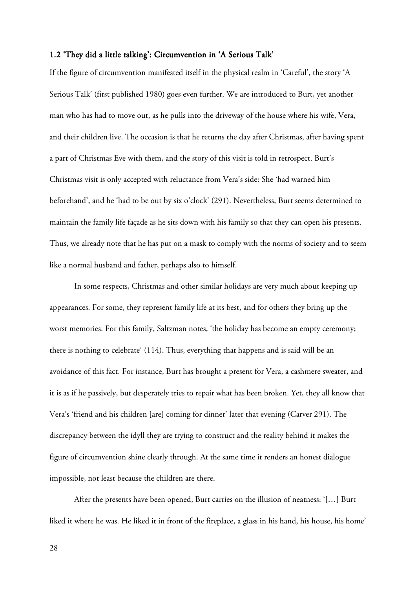#### 1.2 'They did a little talking': Circumvention in 'A Serious Talk'

If the figure of circumvention manifested itself in the physical realm in 'Careful', the story 'A Serious Talk' (first published 1980) goes even further. We are introduced to Burt, yet another man who has had to move out, as he pulls into the driveway of the house where his wife, Vera, and their children live. The occasion is that he returns the day after Christmas, after having spent a part of Christmas Eve with them, and the story of this visit is told in retrospect. Burt's Christmas visit is only accepted with reluctance from Vera's side: She 'had warned him beforehand', and he 'had to be out by six o'clock' (291). Nevertheless, Burt seems determined to maintain the family life façade as he sits down with his family so that they can open his presents. Thus, we already note that he has put on a mask to comply with the norms of society and to seem like a normal husband and father, perhaps also to himself.

 In some respects, Christmas and other similar holidays are very much about keeping up appearances. For some, they represent family life at its best, and for others they bring up the worst memories. For this family, Saltzman notes, 'the holiday has become an empty ceremony; there is nothing to celebrate' (114). Thus, everything that happens and is said will be an avoidance of this fact. For instance, Burt has brought a present for Vera, a cashmere sweater, and it is as if he passively, but desperately tries to repair what has been broken. Yet, they all know that Vera's 'friend and his children [are] coming for dinner' later that evening (Carver 291). The discrepancy between the idyll they are trying to construct and the reality behind it makes the figure of circumvention shine clearly through. At the same time it renders an honest dialogue impossible, not least because the children are there.

After the presents have been opened, Burt carries on the illusion of neatness: '[…] Burt liked it where he was. He liked it in front of the fireplace, a glass in his hand, his house, his home'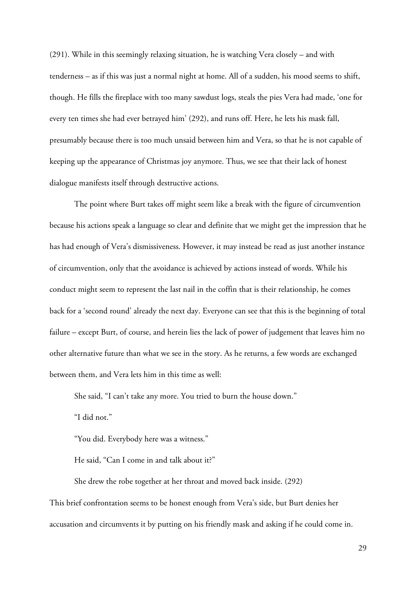(291). While in this seemingly relaxing situation, he is watching Vera closely – and with tenderness – as if this was just a normal night at home. All of a sudden, his mood seems to shift, though. He fills the fireplace with too many sawdust logs, steals the pies Vera had made, 'one for every ten times she had ever betrayed him' (292), and runs off. Here, he lets his mask fall, presumably because there is too much unsaid between him and Vera, so that he is not capable of keeping up the appearance of Christmas joy anymore. Thus, we see that their lack of honest dialogue manifests itself through destructive actions.

 The point where Burt takes off might seem like a break with the figure of circumvention because his actions speak a language so clear and definite that we might get the impression that he has had enough of Vera's dismissiveness. However, it may instead be read as just another instance of circumvention, only that the avoidance is achieved by actions instead of words. While his conduct might seem to represent the last nail in the coffin that is their relationship, he comes back for a 'second round' already the next day. Everyone can see that this is the beginning of total failure – except Burt, of course, and herein lies the lack of power of judgement that leaves him no other alternative future than what we see in the story. As he returns, a few words are exchanged between them, and Vera lets him in this time as well:

She said, "I can't take any more. You tried to burn the house down."

"I did not."

"You did. Everybody here was a witness."

He said, "Can I come in and talk about it?"

She drew the robe together at her throat and moved back inside. (292)

This brief confrontation seems to be honest enough from Vera's side, but Burt denies her accusation and circumvents it by putting on his friendly mask and asking if he could come in.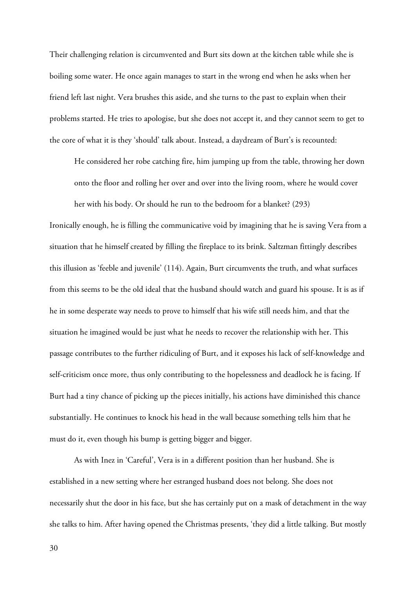Their challenging relation is circumvented and Burt sits down at the kitchen table while she is boiling some water. He once again manages to start in the wrong end when he asks when her friend left last night. Vera brushes this aside, and she turns to the past to explain when their problems started. He tries to apologise, but she does not accept it, and they cannot seem to get to the core of what it is they 'should' talk about. Instead, a daydream of Burt's is recounted:

He considered her robe catching fire, him jumping up from the table, throwing her down onto the floor and rolling her over and over into the living room, where he would cover her with his body. Or should he run to the bedroom for a blanket? (293)

Ironically enough, he is filling the communicative void by imagining that he is saving Vera from a situation that he himself created by filling the fireplace to its brink. Saltzman fittingly describes this illusion as 'feeble and juvenile' (114). Again, Burt circumvents the truth, and what surfaces from this seems to be the old ideal that the husband should watch and guard his spouse. It is as if he in some desperate way needs to prove to himself that his wife still needs him, and that the situation he imagined would be just what he needs to recover the relationship with her. This passage contributes to the further ridiculing of Burt, and it exposes his lack of self-knowledge and self-criticism once more, thus only contributing to the hopelessness and deadlock he is facing. If Burt had a tiny chance of picking up the pieces initially, his actions have diminished this chance substantially. He continues to knock his head in the wall because something tells him that he must do it, even though his bump is getting bigger and bigger.

As with Inez in 'Careful', Vera is in a different position than her husband. She is established in a new setting where her estranged husband does not belong. She does not necessarily shut the door in his face, but she has certainly put on a mask of detachment in the way she talks to him. After having opened the Christmas presents, 'they did a little talking. But mostly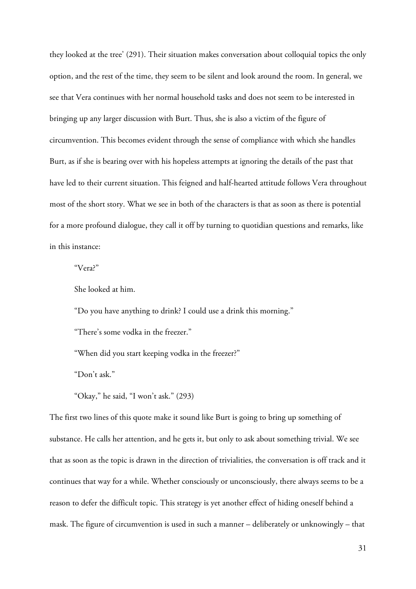they looked at the tree' (291). Their situation makes conversation about colloquial topics the only option, and the rest of the time, they seem to be silent and look around the room. In general, we see that Vera continues with her normal household tasks and does not seem to be interested in bringing up any larger discussion with Burt. Thus, she is also a victim of the figure of circumvention. This becomes evident through the sense of compliance with which she handles Burt, as if she is bearing over with his hopeless attempts at ignoring the details of the past that have led to their current situation. This feigned and half-hearted attitude follows Vera throughout most of the short story. What we see in both of the characters is that as soon as there is potential for a more profound dialogue, they call it off by turning to quotidian questions and remarks, like in this instance:

"Vera?"

She looked at him.

"Do you have anything to drink? I could use a drink this morning."

"There's some vodka in the freezer."

"When did you start keeping vodka in the freezer?"

"Don't ask."

"Okay," he said, "I won't ask." (293)

The first two lines of this quote make it sound like Burt is going to bring up something of substance. He calls her attention, and he gets it, but only to ask about something trivial. We see that as soon as the topic is drawn in the direction of trivialities, the conversation is off track and it continues that way for a while. Whether consciously or unconsciously, there always seems to be a reason to defer the difficult topic. This strategy is yet another effect of hiding oneself behind a mask. The figure of circumvention is used in such a manner – deliberately or unknowingly – that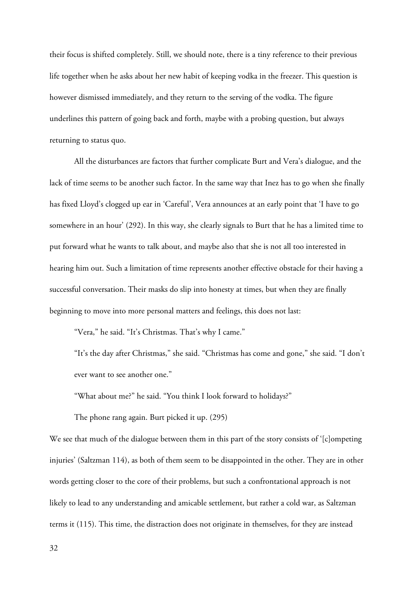their focus is shifted completely. Still, we should note, there is a tiny reference to their previous life together when he asks about her new habit of keeping vodka in the freezer. This question is however dismissed immediately, and they return to the serving of the vodka. The figure underlines this pattern of going back and forth, maybe with a probing question, but always returning to status quo.

All the disturbances are factors that further complicate Burt and Vera's dialogue, and the lack of time seems to be another such factor. In the same way that Inez has to go when she finally has fixed Lloyd's clogged up ear in 'Careful', Vera announces at an early point that 'I have to go somewhere in an hour' (292). In this way, she clearly signals to Burt that he has a limited time to put forward what he wants to talk about, and maybe also that she is not all too interested in hearing him out. Such a limitation of time represents another effective obstacle for their having a successful conversation. Their masks do slip into honesty at times, but when they are finally beginning to move into more personal matters and feelings, this does not last:

"Vera," he said. "It's Christmas. That's why I came."

"It's the day after Christmas," she said. "Christmas has come and gone," she said. "I don't ever want to see another one."

"What about me?" he said. "You think I look forward to holidays?"

The phone rang again. Burt picked it up. (295)

We see that much of the dialogue between them in this part of the story consists of '[c]ompeting injuries' (Saltzman 114), as both of them seem to be disappointed in the other. They are in other words getting closer to the core of their problems, but such a confrontational approach is not likely to lead to any understanding and amicable settlement, but rather a cold war, as Saltzman terms it (115). This time, the distraction does not originate in themselves, for they are instead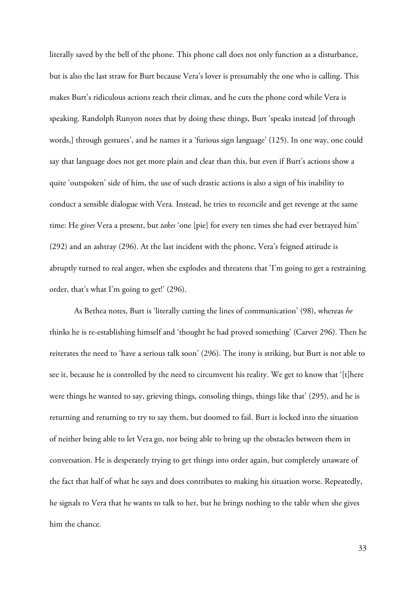literally saved by the bell of the phone. This phone call does not only function as a disturbance, but is also the last straw for Burt because Vera's lover is presumably the one who is calling. This makes Burt's ridiculous actions reach their climax, and he cuts the phone cord while Vera is speaking. Randolph Runyon notes that by doing these things, Burt 'speaks instead [of through words,] through gestures', and he names it a 'furious sign language' (125). In one way, one could say that language does not get more plain and clear than this, but even if Burt's actions show a quite 'outspoken' side of him, the use of such drastic actions is also a sign of his inability to conduct a sensible dialogue with Vera. Instead, he tries to reconcile and get revenge at the same time: He *gives* Vera a present, but *takes* 'one [pie] for every ten times she had ever betrayed him' (292) and an ashtray (296). At the last incident with the phone, Vera's feigned attitude is abruptly turned to real anger, when she explodes and threatens that 'I'm going to get a restraining order, that's what I'm going to get!' (296).

As Bethea notes, Burt is 'literally cutting the lines of communication' (98), whereas *he* thinks he is re-establishing himself and 'thought he had proved something' (Carver 296). Then he reiterates the need to 'have a serious talk soon' (296). The irony is striking, but Burt is not able to see it, because he is controlled by the need to circumvent his reality. We get to know that '[t]here were things he wanted to say, grieving things, consoling things, things like that' (295), and he is returning and returning to try to say them, but doomed to fail. Burt is locked into the situation of neither being able to let Vera go, nor being able to bring up the obstacles between them in conversation. He is desperately trying to get things into order again, but completely unaware of the fact that half of what he says and does contributes to making his situation worse. Repeatedly, he signals to Vera that he wants to talk to her, but he brings nothing to the table when she gives him the chance.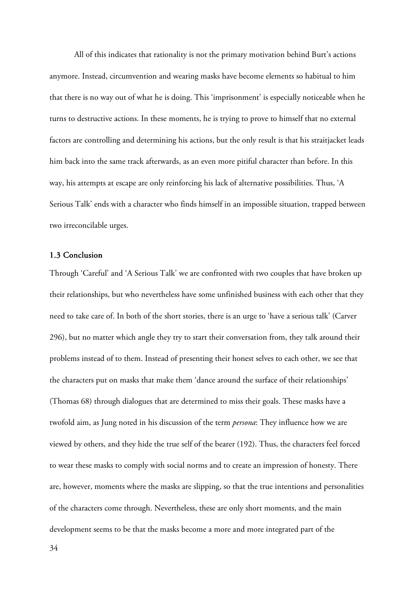All of this indicates that rationality is not the primary motivation behind Burt's actions anymore. Instead, circumvention and wearing masks have become elements so habitual to him that there is no way out of what he is doing. This 'imprisonment' is especially noticeable when he turns to destructive actions. In these moments, he is trying to prove to himself that no external factors are controlling and determining his actions, but the only result is that his straitjacket leads him back into the same track afterwards, as an even more pitiful character than before. In this way, his attempts at escape are only reinforcing his lack of alternative possibilities. Thus, 'A Serious Talk' ends with a character who finds himself in an impossible situation, trapped between two irreconcilable urges.

#### 1.3 Conclusion

Through 'Careful' and 'A Serious Talk' we are confronted with two couples that have broken up their relationships, but who nevertheless have some unfinished business with each other that they need to take care of. In both of the short stories, there is an urge to 'have a serious talk' (Carver 296), but no matter which angle they try to start their conversation from, they talk around their problems instead of to them. Instead of presenting their honest selves to each other, we see that the characters put on masks that make them 'dance around the surface of their relationships' (Thomas 68) through dialogues that are determined to miss their goals. These masks have a twofold aim, as Jung noted in his discussion of the term *persona*: They influence how we are viewed by others, and they hide the true self of the bearer (192). Thus, the characters feel forced to wear these masks to comply with social norms and to create an impression of honesty. There are, however, moments where the masks are slipping, so that the true intentions and personalities of the characters come through. Nevertheless, these are only short moments, and the main development seems to be that the masks become a more and more integrated part of the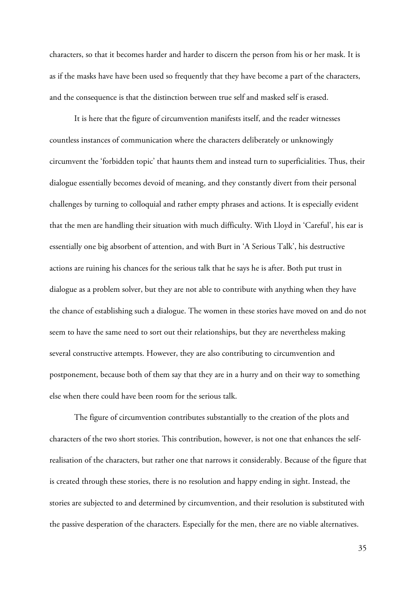characters, so that it becomes harder and harder to discern the person from his or her mask. It is as if the masks have have been used so frequently that they have become a part of the characters, and the consequence is that the distinction between true self and masked self is erased.

It is here that the figure of circumvention manifests itself, and the reader witnesses countless instances of communication where the characters deliberately or unknowingly circumvent the 'forbidden topic' that haunts them and instead turn to superficialities. Thus, their dialogue essentially becomes devoid of meaning, and they constantly divert from their personal challenges by turning to colloquial and rather empty phrases and actions. It is especially evident that the men are handling their situation with much difficulty. With Lloyd in 'Careful', his ear is essentially one big absorbent of attention, and with Burt in 'A Serious Talk', his destructive actions are ruining his chances for the serious talk that he says he is after. Both put trust in dialogue as a problem solver, but they are not able to contribute with anything when they have the chance of establishing such a dialogue. The women in these stories have moved on and do not seem to have the same need to sort out their relationships, but they are nevertheless making several constructive attempts. However, they are also contributing to circumvention and postponement, because both of them say that they are in a hurry and on their way to something else when there could have been room for the serious talk.

The figure of circumvention contributes substantially to the creation of the plots and characters of the two short stories. This contribution, however, is not one that enhances the selfrealisation of the characters, but rather one that narrows it considerably. Because of the figure that is created through these stories, there is no resolution and happy ending in sight. Instead, the stories are subjected to and determined by circumvention, and their resolution is substituted with the passive desperation of the characters. Especially for the men, there are no viable alternatives.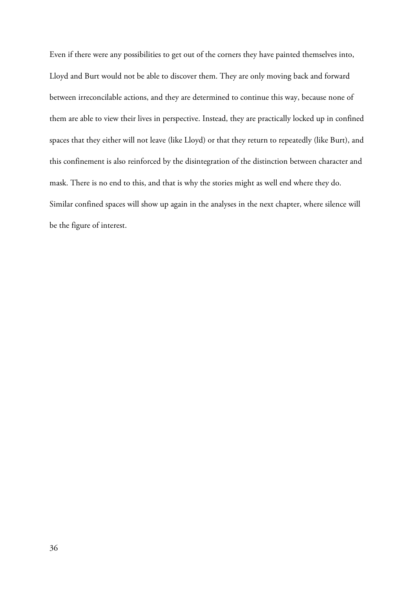Even if there were any possibilities to get out of the corners they have painted themselves into, Lloyd and Burt would not be able to discover them. They are only moving back and forward between irreconcilable actions, and they are determined to continue this way, because none of them are able to view their lives in perspective. Instead, they are practically locked up in confined spaces that they either will not leave (like Lloyd) or that they return to repeatedly (like Burt), and this confinement is also reinforced by the disintegration of the distinction between character and mask. There is no end to this, and that is why the stories might as well end where they do. Similar confined spaces will show up again in the analyses in the next chapter, where silence will be the figure of interest.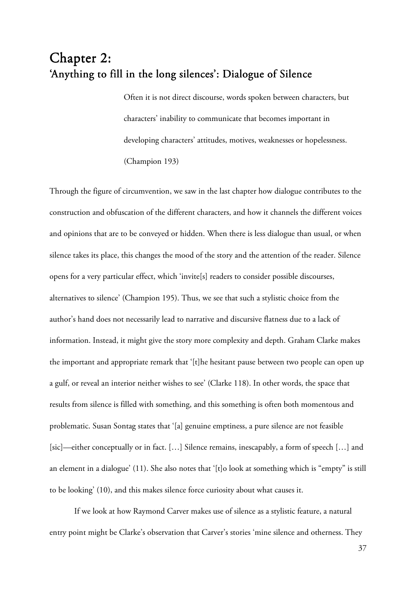# Chapter 2: 'Anything to fill in the long silences': Dialogue of Silence

Often it is not direct discourse, words spoken between characters, but characters' inability to communicate that becomes important in developing characters' attitudes, motives, weaknesses or hopelessness. (Champion 193)

Through the figure of circumvention, we saw in the last chapter how dialogue contributes to the construction and obfuscation of the different characters, and how it channels the different voices and opinions that are to be conveyed or hidden. When there is less dialogue than usual, or when silence takes its place, this changes the mood of the story and the attention of the reader. Silence opens for a very particular effect, which 'invite[s] readers to consider possible discourses, alternatives to silence' (Champion 195). Thus, we see that such a stylistic choice from the author's hand does not necessarily lead to narrative and discursive flatness due to a lack of information. Instead, it might give the story more complexity and depth. Graham Clarke makes the important and appropriate remark that '[t]he hesitant pause between two people can open up a gulf, or reveal an interior neither wishes to see' (Clarke 118). In other words, the space that results from silence is filled with something, and this something is often both momentous and problematic. Susan Sontag states that '[a] genuine emptiness, a pure silence are not feasible [sic]—either conceptually or in fact. […] Silence remains, inescapably, a form of speech […] and an element in a dialogue' (11). She also notes that '[t]o look at something which is "empty" is still to be looking' (10), and this makes silence force curiosity about what causes it.

If we look at how Raymond Carver makes use of silence as a stylistic feature, a natural entry point might be Clarke's observation that Carver's stories 'mine silence and otherness. They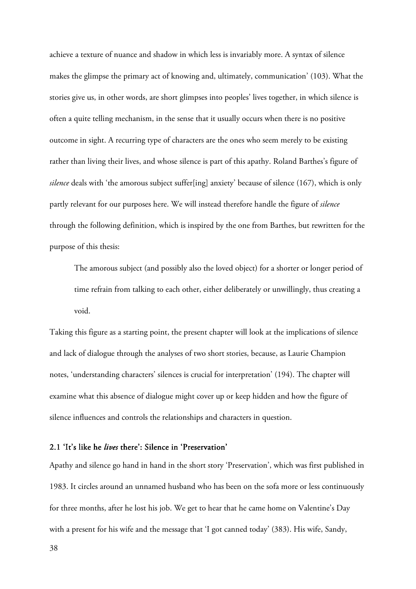achieve a texture of nuance and shadow in which less is invariably more. A syntax of silence makes the glimpse the primary act of knowing and, ultimately, communication' (103). What the stories give us, in other words, are short glimpses into peoples' lives together, in which silence is often a quite telling mechanism, in the sense that it usually occurs when there is no positive outcome in sight. A recurring type of characters are the ones who seem merely to be existing rather than living their lives, and whose silence is part of this apathy. Roland Barthes's figure of *silence* deals with 'the amorous subject suffer[ing] anxiety' because of silence (167), which is only partly relevant for our purposes here. We will instead therefore handle the figure of *silence* through the following definition, which is inspired by the one from Barthes, but rewritten for the purpose of this thesis:

The amorous subject (and possibly also the loved object) for a shorter or longer period of time refrain from talking to each other, either deliberately or unwillingly, thus creating a void.

Taking this figure as a starting point, the present chapter will look at the implications of silence and lack of dialogue through the analyses of two short stories, because, as Laurie Champion notes, 'understanding characters' silences is crucial for interpretation' (194). The chapter will examine what this absence of dialogue might cover up or keep hidden and how the figure of silence influences and controls the relationships and characters in question.

## 2.1 'It's like he *lives* there': Silence in 'Preservation'

Apathy and silence go hand in hand in the short story 'Preservation', which was first published in 1983. It circles around an unnamed husband who has been on the sofa more or less continuously for three months, after he lost his job. We get to hear that he came home on Valentine's Day with a present for his wife and the message that 'I got canned today' (383). His wife, Sandy,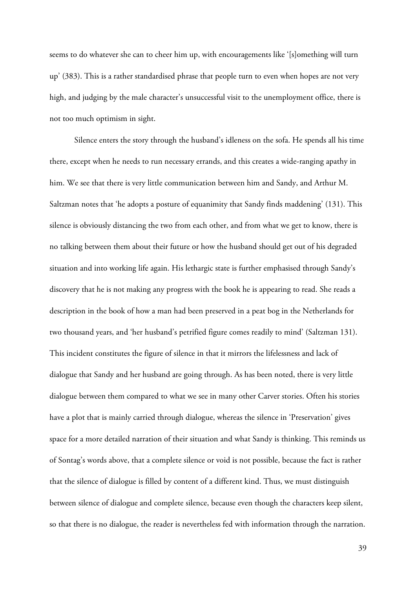seems to do whatever she can to cheer him up, with encouragements like '[s]omething will turn up' (383). This is a rather standardised phrase that people turn to even when hopes are not very high, and judging by the male character's unsuccessful visit to the unemployment office, there is not too much optimism in sight.

Silence enters the story through the husband's idleness on the sofa. He spends all his time there, except when he needs to run necessary errands, and this creates a wide-ranging apathy in him. We see that there is very little communication between him and Sandy, and Arthur M. Saltzman notes that 'he adopts a posture of equanimity that Sandy finds maddening' (131). This silence is obviously distancing the two from each other, and from what we get to know, there is no talking between them about their future or how the husband should get out of his degraded situation and into working life again. His lethargic state is further emphasised through Sandy's discovery that he is not making any progress with the book he is appearing to read. She reads a description in the book of how a man had been preserved in a peat bog in the Netherlands for two thousand years, and 'her husband's petrified figure comes readily to mind' (Saltzman 131). This incident constitutes the figure of silence in that it mirrors the lifelessness and lack of dialogue that Sandy and her husband are going through. As has been noted, there is very little dialogue between them compared to what we see in many other Carver stories. Often his stories have a plot that is mainly carried through dialogue, whereas the silence in 'Preservation' gives space for a more detailed narration of their situation and what Sandy is thinking. This reminds us of Sontag's words above, that a complete silence or void is not possible, because the fact is rather that the silence of dialogue is filled by content of a different kind. Thus, we must distinguish between silence of dialogue and complete silence, because even though the characters keep silent, so that there is no dialogue, the reader is nevertheless fed with information through the narration.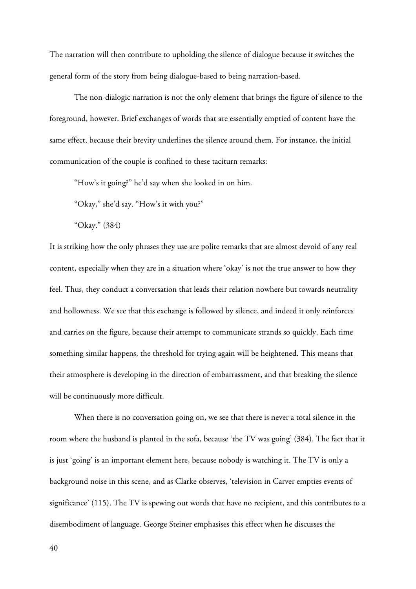The narration will then contribute to upholding the silence of dialogue because it switches the general form of the story from being dialogue-based to being narration-based.

The non-dialogic narration is not the only element that brings the figure of silence to the foreground, however. Brief exchanges of words that are essentially emptied of content have the same effect, because their brevity underlines the silence around them. For instance, the initial communication of the couple is confined to these taciturn remarks:

"How's it going?" he'd say when she looked in on him.

"Okay," she'd say. "How's it with you?"

"Okay." (384)

It is striking how the only phrases they use are polite remarks that are almost devoid of any real content, especially when they are in a situation where 'okay' is not the true answer to how they feel. Thus, they conduct a conversation that leads their relation nowhere but towards neutrality and hollowness. We see that this exchange is followed by silence, and indeed it only reinforces and carries on the figure, because their attempt to communicate strands so quickly. Each time something similar happens, the threshold for trying again will be heightened. This means that their atmosphere is developing in the direction of embarrassment, and that breaking the silence will be continuously more difficult.

When there is no conversation going on, we see that there is never a total silence in the room where the husband is planted in the sofa, because 'the TV was going' (384). The fact that it is just 'going' is an important element here, because nobody is watching it. The TV is only a background noise in this scene, and as Clarke observes, 'television in Carver empties events of significance' (115). The TV is spewing out words that have no recipient, and this contributes to a disembodiment of language. George Steiner emphasises this effect when he discusses the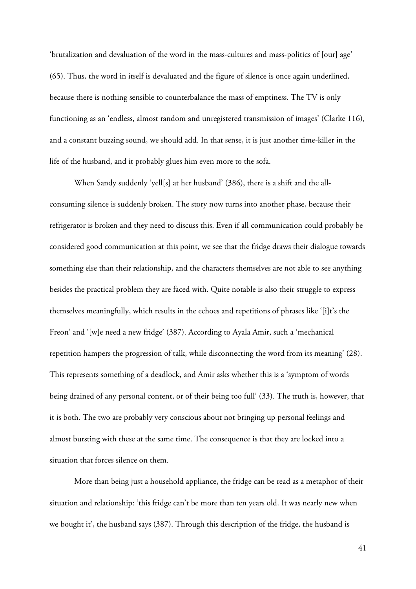'brutalization and devaluation of the word in the mass-cultures and mass-politics of [our] age' (65). Thus, the word in itself is devaluated and the figure of silence is once again underlined, because there is nothing sensible to counterbalance the mass of emptiness. The TV is only functioning as an 'endless, almost random and unregistered transmission of images' (Clarke 116), and a constant buzzing sound, we should add. In that sense, it is just another time-killer in the life of the husband, and it probably glues him even more to the sofa.

When Sandy suddenly 'yell[s] at her husband' (386), there is a shift and the allconsuming silence is suddenly broken. The story now turns into another phase, because their refrigerator is broken and they need to discuss this. Even if all communication could probably be considered good communication at this point, we see that the fridge draws their dialogue towards something else than their relationship, and the characters themselves are not able to see anything besides the practical problem they are faced with. Quite notable is also their struggle to express themselves meaningfully, which results in the echoes and repetitions of phrases like '[i]t's the Freon' and '[w]e need a new fridge' (387). According to Ayala Amir, such a 'mechanical repetition hampers the progression of talk, while disconnecting the word from its meaning' (28). This represents something of a deadlock, and Amir asks whether this is a 'symptom of words being drained of any personal content, or of their being too full' (33). The truth is, however, that it is both. The two are probably very conscious about not bringing up personal feelings and almost bursting with these at the same time. The consequence is that they are locked into a situation that forces silence on them.

More than being just a household appliance, the fridge can be read as a metaphor of their situation and relationship: 'this fridge can't be more than ten years old. It was nearly new when we bought it', the husband says (387). Through this description of the fridge, the husband is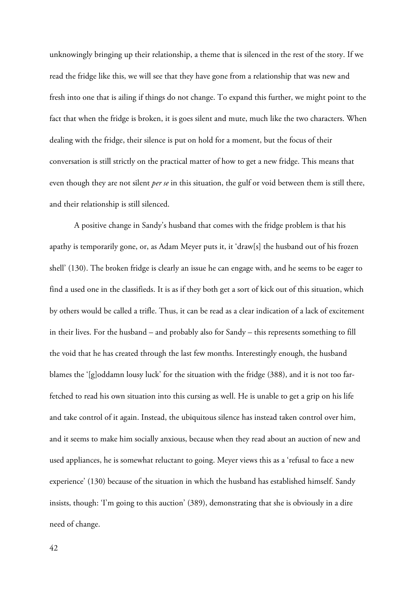unknowingly bringing up their relationship, a theme that is silenced in the rest of the story. If we read the fridge like this, we will see that they have gone from a relationship that was new and fresh into one that is ailing if things do not change. To expand this further, we might point to the fact that when the fridge is broken, it is goes silent and mute, much like the two characters. When dealing with the fridge, their silence is put on hold for a moment, but the focus of their conversation is still strictly on the practical matter of how to get a new fridge. This means that even though they are not silent *per se* in this situation, the gulf or void between them is still there, and their relationship is still silenced.

A positive change in Sandy's husband that comes with the fridge problem is that his apathy is temporarily gone, or, as Adam Meyer puts it, it 'draw[s] the husband out of his frozen shell' (130). The broken fridge is clearly an issue he can engage with, and he seems to be eager to find a used one in the classifieds. It is as if they both get a sort of kick out of this situation, which by others would be called a trifle. Thus, it can be read as a clear indication of a lack of excitement in their lives. For the husband – and probably also for Sandy – this represents something to fill the void that he has created through the last few months. Interestingly enough, the husband blames the '[g]oddamn lousy luck' for the situation with the fridge (388), and it is not too farfetched to read his own situation into this cursing as well. He is unable to get a grip on his life and take control of it again. Instead, the ubiquitous silence has instead taken control over him, and it seems to make him socially anxious, because when they read about an auction of new and used appliances, he is somewhat reluctant to going. Meyer views this as a 'refusal to face a new experience' (130) because of the situation in which the husband has established himself. Sandy insists, though: 'I'm going to this auction' (389), demonstrating that she is obviously in a dire need of change.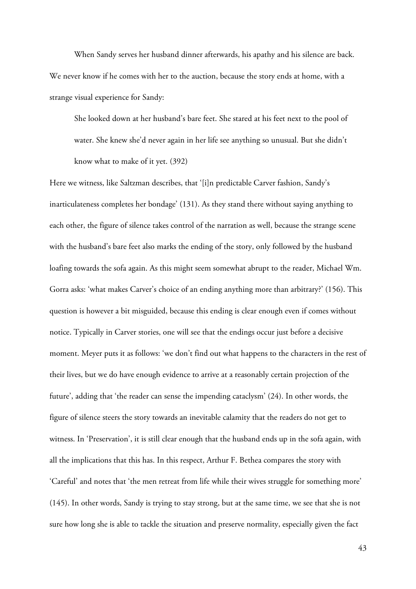When Sandy serves her husband dinner afterwards, his apathy and his silence are back. We never know if he comes with her to the auction, because the story ends at home, with a strange visual experience for Sandy:

She looked down at her husband's bare feet. She stared at his feet next to the pool of water. She knew she'd never again in her life see anything so unusual. But she didn't know what to make of it yet. (392)

Here we witness, like Saltzman describes, that '[i]n predictable Carver fashion, Sandy's inarticulateness completes her bondage' (131). As they stand there without saying anything to each other, the figure of silence takes control of the narration as well, because the strange scene with the husband's bare feet also marks the ending of the story, only followed by the husband loafing towards the sofa again. As this might seem somewhat abrupt to the reader, Michael Wm. Gorra asks: 'what makes Carver's choice of an ending anything more than arbitrary?' (156). This question is however a bit misguided, because this ending is clear enough even if comes without notice. Typically in Carver stories, one will see that the endings occur just before a decisive moment. Meyer puts it as follows: 'we don't find out what happens to the characters in the rest of their lives, but we do have enough evidence to arrive at a reasonably certain projection of the future', adding that 'the reader can sense the impending cataclysm' (24). In other words, the figure of silence steers the story towards an inevitable calamity that the readers do not get to witness. In 'Preservation', it is still clear enough that the husband ends up in the sofa again, with all the implications that this has. In this respect, Arthur F. Bethea compares the story with 'Careful' and notes that 'the men retreat from life while their wives struggle for something more' (145). In other words, Sandy is trying to stay strong, but at the same time, we see that she is not sure how long she is able to tackle the situation and preserve normality, especially given the fact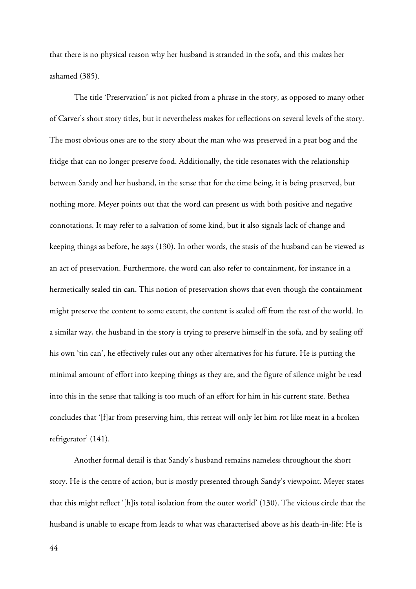that there is no physical reason why her husband is stranded in the sofa, and this makes her ashamed (385).

The title 'Preservation' is not picked from a phrase in the story, as opposed to many other of Carver's short story titles, but it nevertheless makes for reflections on several levels of the story. The most obvious ones are to the story about the man who was preserved in a peat bog and the fridge that can no longer preserve food. Additionally, the title resonates with the relationship between Sandy and her husband, in the sense that for the time being, it is being preserved, but nothing more. Meyer points out that the word can present us with both positive and negative connotations. It may refer to a salvation of some kind, but it also signals lack of change and keeping things as before, he says (130). In other words, the stasis of the husband can be viewed as an act of preservation. Furthermore, the word can also refer to containment, for instance in a hermetically sealed tin can. This notion of preservation shows that even though the containment might preserve the content to some extent, the content is sealed off from the rest of the world. In a similar way, the husband in the story is trying to preserve himself in the sofa, and by sealing off his own 'tin can', he effectively rules out any other alternatives for his future. He is putting the minimal amount of effort into keeping things as they are, and the figure of silence might be read into this in the sense that talking is too much of an effort for him in his current state. Bethea concludes that '[f]ar from preserving him, this retreat will only let him rot like meat in a broken refrigerator' (141).

Another formal detail is that Sandy's husband remains nameless throughout the short story. He is the centre of action, but is mostly presented through Sandy's viewpoint. Meyer states that this might reflect '[h]is total isolation from the outer world' (130). The vicious circle that the husband is unable to escape from leads to what was characterised above as his death-in-life: He is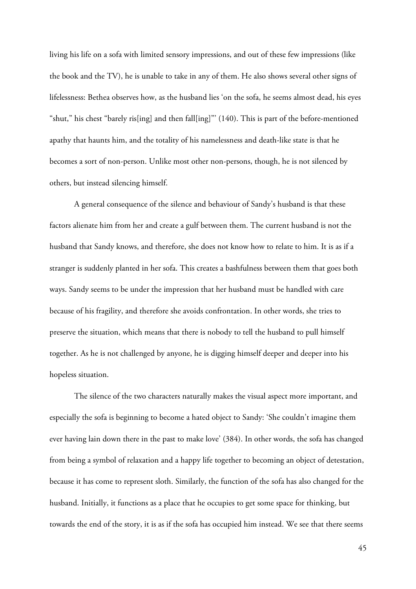living his life on a sofa with limited sensory impressions, and out of these few impressions (like the book and the TV), he is unable to take in any of them. He also shows several other signs of lifelessness: Bethea observes how, as the husband lies 'on the sofa, he seems almost dead, his eyes "shut," his chest "barely ris[ing] and then fall[ing]"' (140). This is part of the before-mentioned apathy that haunts him, and the totality of his namelessness and death-like state is that he becomes a sort of non-person. Unlike most other non-persons, though, he is not silenced by others, but instead silencing himself.

A general consequence of the silence and behaviour of Sandy's husband is that these factors alienate him from her and create a gulf between them. The current husband is not the husband that Sandy knows, and therefore, she does not know how to relate to him. It is as if a stranger is suddenly planted in her sofa. This creates a bashfulness between them that goes both ways. Sandy seems to be under the impression that her husband must be handled with care because of his fragility, and therefore she avoids confrontation. In other words, she tries to preserve the situation, which means that there is nobody to tell the husband to pull himself together. As he is not challenged by anyone, he is digging himself deeper and deeper into his hopeless situation.

The silence of the two characters naturally makes the visual aspect more important, and especially the sofa is beginning to become a hated object to Sandy: 'She couldn't imagine them ever having lain down there in the past to make love' (384). In other words, the sofa has changed from being a symbol of relaxation and a happy life together to becoming an object of detestation, because it has come to represent sloth. Similarly, the function of the sofa has also changed for the husband. Initially, it functions as a place that he occupies to get some space for thinking, but towards the end of the story, it is as if the sofa has occupied him instead. We see that there seems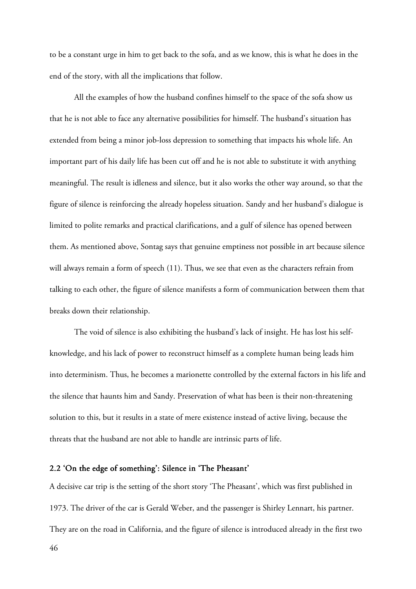to be a constant urge in him to get back to the sofa, and as we know, this is what he does in the end of the story, with all the implications that follow.

All the examples of how the husband confines himself to the space of the sofa show us that he is not able to face any alternative possibilities for himself. The husband's situation has extended from being a minor job-loss depression to something that impacts his whole life. An important part of his daily life has been cut off and he is not able to substitute it with anything meaningful. The result is idleness and silence, but it also works the other way around, so that the figure of silence is reinforcing the already hopeless situation. Sandy and her husband's dialogue is limited to polite remarks and practical clarifications, and a gulf of silence has opened between them. As mentioned above, Sontag says that genuine emptiness not possible in art because silence will always remain a form of speech (11). Thus, we see that even as the characters refrain from talking to each other, the figure of silence manifests a form of communication between them that breaks down their relationship.

The void of silence is also exhibiting the husband's lack of insight. He has lost his selfknowledge, and his lack of power to reconstruct himself as a complete human being leads him into determinism. Thus, he becomes a marionette controlled by the external factors in his life and the silence that haunts him and Sandy. Preservation of what has been is their non-threatening solution to this, but it results in a state of mere existence instead of active living, because the threats that the husband are not able to handle are intrinsic parts of life.

#### 2.2 'On the edge of something': Silence in 'The Pheasant'

A decisive car trip is the setting of the short story 'The Pheasant', which was first published in 1973. The driver of the car is Gerald Weber, and the passenger is Shirley Lennart, his partner. They are on the road in California, and the figure of silence is introduced already in the first two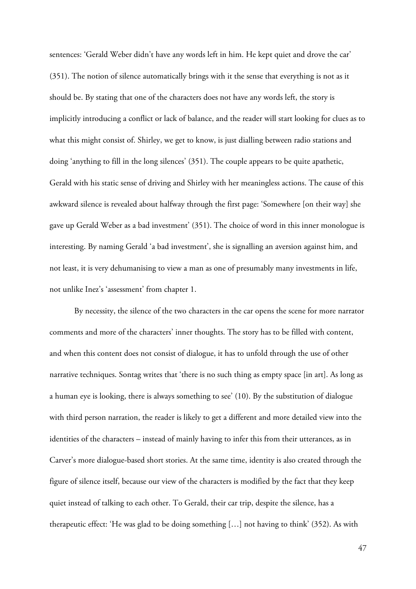sentences: 'Gerald Weber didn't have any words left in him. He kept quiet and drove the car' (351). The notion of silence automatically brings with it the sense that everything is not as it should be. By stating that one of the characters does not have any words left, the story is implicitly introducing a conflict or lack of balance, and the reader will start looking for clues as to what this might consist of. Shirley, we get to know, is just dialling between radio stations and doing 'anything to fill in the long silences' (351). The couple appears to be quite apathetic, Gerald with his static sense of driving and Shirley with her meaningless actions. The cause of this awkward silence is revealed about halfway through the first page: 'Somewhere [on their way] she gave up Gerald Weber as a bad investment' (351). The choice of word in this inner monologue is interesting. By naming Gerald 'a bad investment', she is signalling an aversion against him, and not least, it is very dehumanising to view a man as one of presumably many investments in life, not unlike Inez's 'assessment' from chapter 1.

By necessity, the silence of the two characters in the car opens the scene for more narrator comments and more of the characters' inner thoughts. The story has to be filled with content, and when this content does not consist of dialogue, it has to unfold through the use of other narrative techniques. Sontag writes that 'there is no such thing as empty space [in art]. As long as a human eye is looking, there is always something to see' (10). By the substitution of dialogue with third person narration, the reader is likely to get a different and more detailed view into the identities of the characters – instead of mainly having to infer this from their utterances, as in Carver's more dialogue-based short stories. At the same time, identity is also created through the figure of silence itself, because our view of the characters is modified by the fact that they keep quiet instead of talking to each other. To Gerald, their car trip, despite the silence, has a therapeutic effect: 'He was glad to be doing something […] not having to think' (352). As with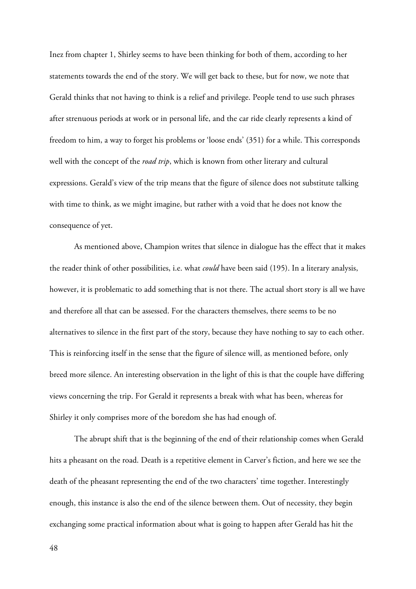Inez from chapter 1, Shirley seems to have been thinking for both of them, according to her statements towards the end of the story. We will get back to these, but for now, we note that Gerald thinks that not having to think is a relief and privilege. People tend to use such phrases after strenuous periods at work or in personal life, and the car ride clearly represents a kind of freedom to him, a way to forget his problems or 'loose ends' (351) for a while. This corresponds well with the concept of the *road trip*, which is known from other literary and cultural expressions. Gerald's view of the trip means that the figure of silence does not substitute talking with time to think, as we might imagine, but rather with a void that he does not know the consequence of yet.

As mentioned above, Champion writes that silence in dialogue has the effect that it makes the reader think of other possibilities, i.e. what *could* have been said (195). In a literary analysis, however, it is problematic to add something that is not there. The actual short story is all we have and therefore all that can be assessed. For the characters themselves, there seems to be no alternatives to silence in the first part of the story, because they have nothing to say to each other. This is reinforcing itself in the sense that the figure of silence will, as mentioned before, only breed more silence. An interesting observation in the light of this is that the couple have differing views concerning the trip. For Gerald it represents a break with what has been, whereas for Shirley it only comprises more of the boredom she has had enough of.

The abrupt shift that is the beginning of the end of their relationship comes when Gerald hits a pheasant on the road. Death is a repetitive element in Carver's fiction, and here we see the death of the pheasant representing the end of the two characters' time together. Interestingly enough, this instance is also the end of the silence between them. Out of necessity, they begin exchanging some practical information about what is going to happen after Gerald has hit the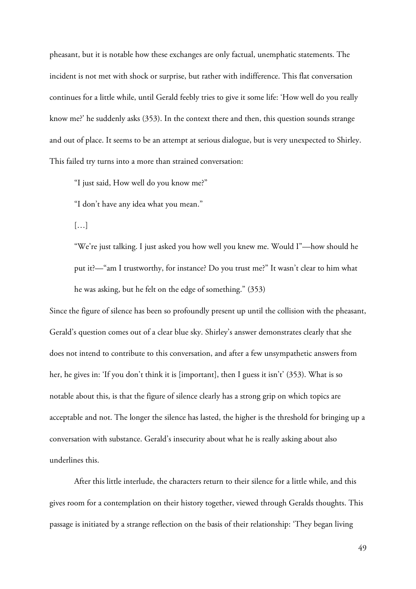pheasant, but it is notable how these exchanges are only factual, unemphatic statements. The incident is not met with shock or surprise, but rather with indifference. This flat conversation continues for a little while, until Gerald feebly tries to give it some life: 'How well do you really know me?' he suddenly asks (353). In the context there and then, this question sounds strange and out of place. It seems to be an attempt at serious dialogue, but is very unexpected to Shirley. This failed try turns into a more than strained conversation:

"I just said, How well do you know me?"

"I don't have any idea what you mean."

[…]

"We're just talking. I just asked you how well you knew me. Would I"—how should he put it?—"am I trustworthy, for instance? Do you trust me?" It wasn't clear to him what he was asking, but he felt on the edge of something." (353)

Since the figure of silence has been so profoundly present up until the collision with the pheasant, Gerald's question comes out of a clear blue sky. Shirley's answer demonstrates clearly that she does not intend to contribute to this conversation, and after a few unsympathetic answers from her, he gives in: 'If you don't think it is [important], then I guess it isn't' (353). What is so notable about this, is that the figure of silence clearly has a strong grip on which topics are acceptable and not. The longer the silence has lasted, the higher is the threshold for bringing up a conversation with substance. Gerald's insecurity about what he is really asking about also underlines this.

After this little interlude, the characters return to their silence for a little while, and this gives room for a contemplation on their history together, viewed through Geralds thoughts. This passage is initiated by a strange reflection on the basis of their relationship: 'They began living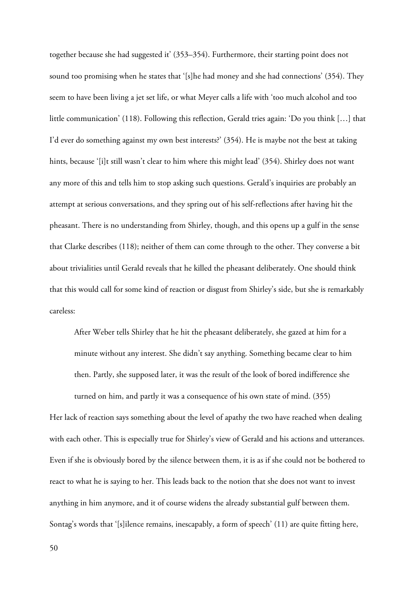together because she had suggested it' (353–354). Furthermore, their starting point does not sound too promising when he states that '[s]he had money and she had connections' (354). They seem to have been living a jet set life, or what Meyer calls a life with 'too much alcohol and too little communication' (118). Following this reflection, Gerald tries again: 'Do you think […] that I'd ever do something against my own best interests?' (354). He is maybe not the best at taking hints, because '[i]t still wasn't clear to him where this might lead' (354). Shirley does not want any more of this and tells him to stop asking such questions. Gerald's inquiries are probably an attempt at serious conversations, and they spring out of his self-reflections after having hit the pheasant. There is no understanding from Shirley, though, and this opens up a gulf in the sense that Clarke describes (118); neither of them can come through to the other. They converse a bit about trivialities until Gerald reveals that he killed the pheasant deliberately. One should think that this would call for some kind of reaction or disgust from Shirley's side, but she is remarkably careless:

After Weber tells Shirley that he hit the pheasant deliberately, she gazed at him for a minute without any interest. She didn't say anything. Something became clear to him then. Partly, she supposed later, it was the result of the look of bored indifference she turned on him, and partly it was a consequence of his own state of mind. (355)

Her lack of reaction says something about the level of apathy the two have reached when dealing with each other. This is especially true for Shirley's view of Gerald and his actions and utterances. Even if she is obviously bored by the silence between them, it is as if she could not be bothered to react to what he is saying to her. This leads back to the notion that she does not want to invest anything in him anymore, and it of course widens the already substantial gulf between them. Sontag's words that '[s]ilence remains, inescapably, a form of speech' (11) are quite fitting here,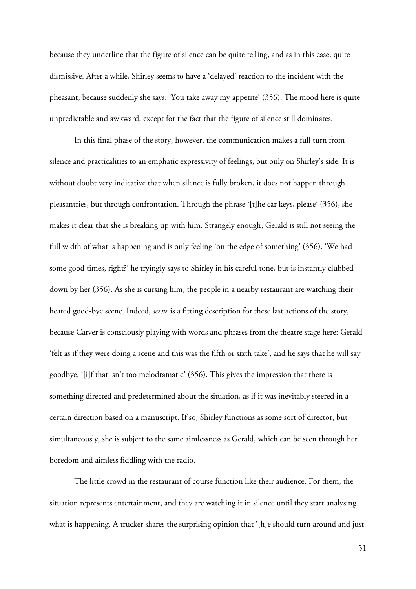because they underline that the figure of silence can be quite telling, and as in this case, quite dismissive. After a while, Shirley seems to have a 'delayed' reaction to the incident with the pheasant, because suddenly she says: 'You take away my appetite' (356). The mood here is quite unpredictable and awkward, except for the fact that the figure of silence still dominates.

In this final phase of the story, however, the communication makes a full turn from silence and practicalities to an emphatic expressivity of feelings, but only on Shirley's side. It is without doubt very indicative that when silence is fully broken, it does not happen through pleasantries, but through confrontation. Through the phrase '[t]he car keys, please' (356), she makes it clear that she is breaking up with him. Strangely enough, Gerald is still not seeing the full width of what is happening and is only feeling 'on the edge of something' (356). 'We had some good times, right?' he tryingly says to Shirley in his careful tone, but is instantly clubbed down by her (356). As she is cursing him, the people in a nearby restaurant are watching their heated good-bye scene. Indeed, *scene* is a fitting description for these last actions of the story, because Carver is consciously playing with words and phrases from the theatre stage here: Gerald 'felt as if they were doing a scene and this was the fifth or sixth take', and he says that he will say goodbye, '[i]f that isn't too melodramatic' (356). This gives the impression that there is something directed and predetermined about the situation, as if it was inevitably steered in a certain direction based on a manuscript. If so, Shirley functions as some sort of director, but simultaneously, she is subject to the same aimlessness as Gerald, which can be seen through her boredom and aimless fiddling with the radio.

The little crowd in the restaurant of course function like their audience. For them, the situation represents entertainment, and they are watching it in silence until they start analysing what is happening. A trucker shares the surprising opinion that '[h]e should turn around and just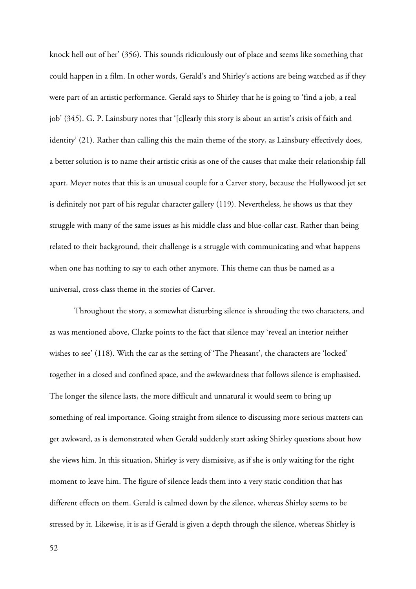knock hell out of her' (356). This sounds ridiculously out of place and seems like something that could happen in a film. In other words, Gerald's and Shirley's actions are being watched as if they were part of an artistic performance. Gerald says to Shirley that he is going to 'find a job, a real job' (345). G. P. Lainsbury notes that '[c]learly this story is about an artist's crisis of faith and identity' (21). Rather than calling this the main theme of the story, as Lainsbury effectively does, a better solution is to name their artistic crisis as one of the causes that make their relationship fall apart. Meyer notes that this is an unusual couple for a Carver story, because the Hollywood jet set is definitely not part of his regular character gallery (119). Nevertheless, he shows us that they struggle with many of the same issues as his middle class and blue-collar cast. Rather than being related to their background, their challenge is a struggle with communicating and what happens when one has nothing to say to each other anymore. This theme can thus be named as a universal, cross-class theme in the stories of Carver.

Throughout the story, a somewhat disturbing silence is shrouding the two characters, and as was mentioned above, Clarke points to the fact that silence may 'reveal an interior neither wishes to see' (118). With the car as the setting of 'The Pheasant', the characters are 'locked' together in a closed and confined space, and the awkwardness that follows silence is emphasised. The longer the silence lasts, the more difficult and unnatural it would seem to bring up something of real importance. Going straight from silence to discussing more serious matters can get awkward, as is demonstrated when Gerald suddenly start asking Shirley questions about how she views him. In this situation, Shirley is very dismissive, as if she is only waiting for the right moment to leave him. The figure of silence leads them into a very static condition that has different effects on them. Gerald is calmed down by the silence, whereas Shirley seems to be stressed by it. Likewise, it is as if Gerald is given a depth through the silence, whereas Shirley is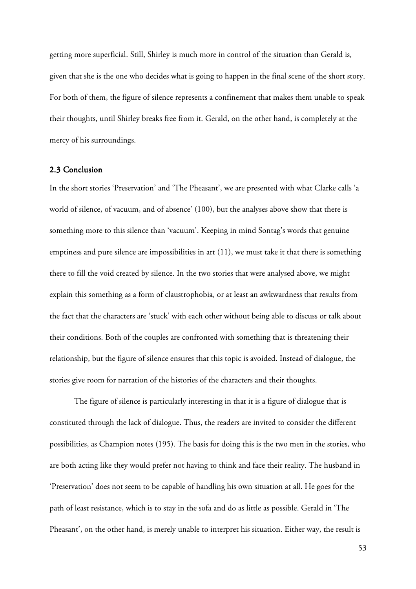getting more superficial. Still, Shirley is much more in control of the situation than Gerald is, given that she is the one who decides what is going to happen in the final scene of the short story. For both of them, the figure of silence represents a confinement that makes them unable to speak their thoughts, until Shirley breaks free from it. Gerald, on the other hand, is completely at the mercy of his surroundings.

## 2.3 Conclusion

In the short stories 'Preservation' and 'The Pheasant', we are presented with what Clarke calls 'a world of silence, of vacuum, and of absence' (100), but the analyses above show that there is something more to this silence than 'vacuum'. Keeping in mind Sontag's words that genuine emptiness and pure silence are impossibilities in art (11), we must take it that there is something there to fill the void created by silence. In the two stories that were analysed above, we might explain this something as a form of claustrophobia, or at least an awkwardness that results from the fact that the characters are 'stuck' with each other without being able to discuss or talk about their conditions. Both of the couples are confronted with something that is threatening their relationship, but the figure of silence ensures that this topic is avoided. Instead of dialogue, the stories give room for narration of the histories of the characters and their thoughts.

The figure of silence is particularly interesting in that it is a figure of dialogue that is constituted through the lack of dialogue. Thus, the readers are invited to consider the different possibilities, as Champion notes (195). The basis for doing this is the two men in the stories, who are both acting like they would prefer not having to think and face their reality. The husband in 'Preservation' does not seem to be capable of handling his own situation at all. He goes for the path of least resistance, which is to stay in the sofa and do as little as possible. Gerald in 'The Pheasant', on the other hand, is merely unable to interpret his situation. Either way, the result is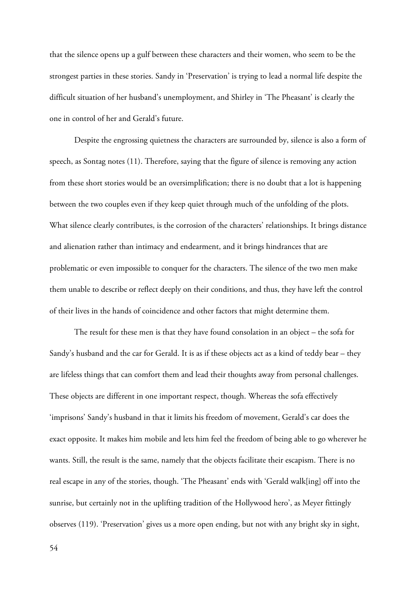that the silence opens up a gulf between these characters and their women, who seem to be the strongest parties in these stories. Sandy in 'Preservation' is trying to lead a normal life despite the difficult situation of her husband's unemployment, and Shirley in 'The Pheasant' is clearly the one in control of her and Gerald's future.

Despite the engrossing quietness the characters are surrounded by, silence is also a form of speech, as Sontag notes (11). Therefore, saying that the figure of silence is removing any action from these short stories would be an oversimplification; there is no doubt that a lot is happening between the two couples even if they keep quiet through much of the unfolding of the plots. What silence clearly contributes, is the corrosion of the characters' relationships. It brings distance and alienation rather than intimacy and endearment, and it brings hindrances that are problematic or even impossible to conquer for the characters. The silence of the two men make them unable to describe or reflect deeply on their conditions, and thus, they have left the control of their lives in the hands of coincidence and other factors that might determine them.

The result for these men is that they have found consolation in an object – the sofa for Sandy's husband and the car for Gerald. It is as if these objects act as a kind of teddy bear – they are lifeless things that can comfort them and lead their thoughts away from personal challenges. These objects are different in one important respect, though. Whereas the sofa effectively 'imprisons' Sandy's husband in that it limits his freedom of movement, Gerald's car does the exact opposite. It makes him mobile and lets him feel the freedom of being able to go wherever he wants. Still, the result is the same, namely that the objects facilitate their escapism. There is no real escape in any of the stories, though. 'The Pheasant' ends with 'Gerald walk[ing] off into the sunrise, but certainly not in the uplifting tradition of the Hollywood hero', as Meyer fittingly observes (119). 'Preservation' gives us a more open ending, but not with any bright sky in sight,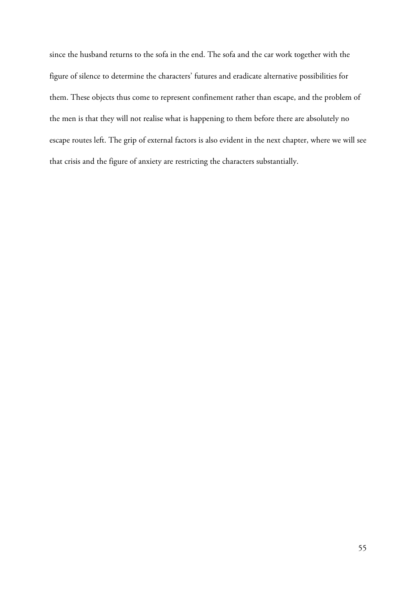since the husband returns to the sofa in the end. The sofa and the car work together with the figure of silence to determine the characters' futures and eradicate alternative possibilities for them. These objects thus come to represent confinement rather than escape, and the problem of the men is that they will not realise what is happening to them before there are absolutely no escape routes left. The grip of external factors is also evident in the next chapter, where we will see that crisis and the figure of anxiety are restricting the characters substantially.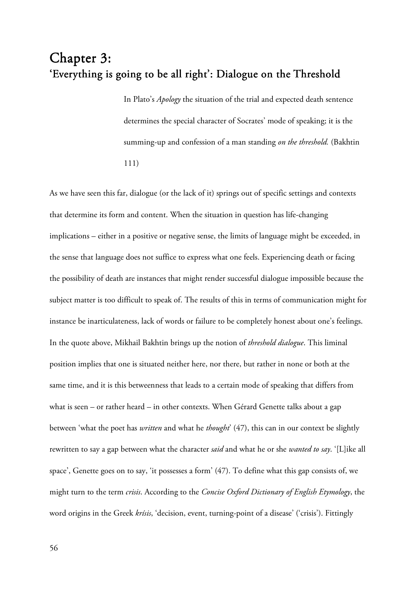# Chapter 3: 'Everything is going to be all right': Dialogue on the Threshold

In Plato's *Apology* the situation of the trial and expected death sentence determines the special character of Socrates' mode of speaking; it is the summing-up and confession of a man standing *on the threshold.* (Bakhtin 111)

As we have seen this far, dialogue (or the lack of it) springs out of specific settings and contexts that determine its form and content. When the situation in question has life-changing implications – either in a positive or negative sense, the limits of language might be exceeded, in the sense that language does not suffice to express what one feels. Experiencing death or facing the possibility of death are instances that might render successful dialogue impossible because the subject matter is too difficult to speak of. The results of this in terms of communication might for instance be inarticulateness, lack of words or failure to be completely honest about one's feelings. In the quote above, Mikhail Bakhtin brings up the notion of *threshold dialogue*. This liminal position implies that one is situated neither here, nor there, but rather in none or both at the same time, and it is this betweenness that leads to a certain mode of speaking that differs from what is seen – or rather heard – in other contexts. When Gérard Genette talks about a gap between 'what the poet has *written* and what he *thought*' (47), this can in our context be slightly rewritten to say a gap between what the character *said* and what he or she *wanted to say*. '[L]ike all space', Genette goes on to say, 'it possesses a form' (47). To define what this gap consists of, we might turn to the term *crisis*. According to the *Concise Oxford Dictionary of English Etymology*, the word origins in the Greek *krísis*, 'decision, event, turning-point of a disease' ('crisis'). Fittingly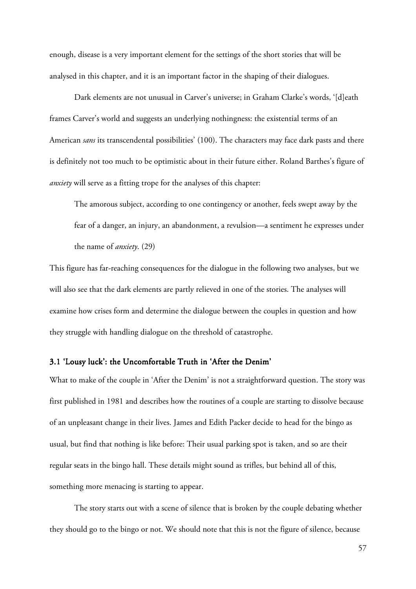enough, disease is a very important element for the settings of the short stories that will be analysed in this chapter, and it is an important factor in the shaping of their dialogues.

Dark elements are not unusual in Carver's universe; in Graham Clarke's words, '[d]eath frames Carver's world and suggests an underlying nothingness: the existential terms of an American *sans* its transcendental possibilities' (100). The characters may face dark pasts and there is definitely not too much to be optimistic about in their future either. Roland Barthes's figure of *anxiety* will serve as a fitting trope for the analyses of this chapter:

The amorous subject, according to one contingency or another, feels swept away by the fear of a danger, an injury, an abandonment, a revulsion—a sentiment he expresses under the name of *anxiety*. (29)

This figure has far-reaching consequences for the dialogue in the following two analyses, but we will also see that the dark elements are partly relieved in one of the stories. The analyses will examine how crises form and determine the dialogue between the couples in question and how they struggle with handling dialogue on the threshold of catastrophe.

### 3.1 'Lousy luck': the Uncomfortable Truth in 'After the Denim'

What to make of the couple in 'After the Denim' is not a straightforward question. The story was first published in 1981 and describes how the routines of a couple are starting to dissolve because of an unpleasant change in their lives. James and Edith Packer decide to head for the bingo as usual, but find that nothing is like before: Their usual parking spot is taken, and so are their regular seats in the bingo hall. These details might sound as trifles, but behind all of this, something more menacing is starting to appear.

The story starts out with a scene of silence that is broken by the couple debating whether they should go to the bingo or not. We should note that this is not the figure of silence, because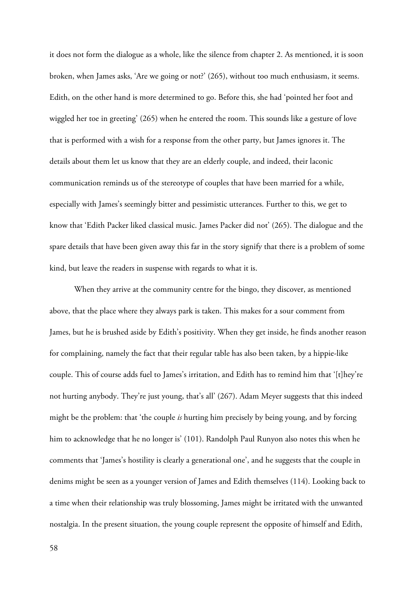it does not form the dialogue as a whole, like the silence from chapter 2. As mentioned, it is soon broken, when James asks, 'Are we going or not?' (265), without too much enthusiasm, it seems. Edith, on the other hand is more determined to go. Before this, she had 'pointed her foot and wiggled her toe in greeting' (265) when he entered the room. This sounds like a gesture of love that is performed with a wish for a response from the other party, but James ignores it. The details about them let us know that they are an elderly couple, and indeed, their laconic communication reminds us of the stereotype of couples that have been married for a while, especially with James's seemingly bitter and pessimistic utterances. Further to this, we get to know that 'Edith Packer liked classical music. James Packer did not' (265). The dialogue and the spare details that have been given away this far in the story signify that there is a problem of some kind, but leave the readers in suspense with regards to what it is.

When they arrive at the community centre for the bingo, they discover, as mentioned above, that the place where they always park is taken. This makes for a sour comment from James, but he is brushed aside by Edith's positivity. When they get inside, he finds another reason for complaining, namely the fact that their regular table has also been taken, by a hippie-like couple. This of course adds fuel to James's irritation, and Edith has to remind him that '[t]hey're not hurting anybody. They're just young, that's all' (267). Adam Meyer suggests that this indeed might be the problem: that 'the couple *is* hurting him precisely by being young, and by forcing him to acknowledge that he no longer is' (101). Randolph Paul Runyon also notes this when he comments that 'James's hostility is clearly a generational one', and he suggests that the couple in denims might be seen as a younger version of James and Edith themselves (114). Looking back to a time when their relationship was truly blossoming, James might be irritated with the unwanted nostalgia. In the present situation, the young couple represent the opposite of himself and Edith,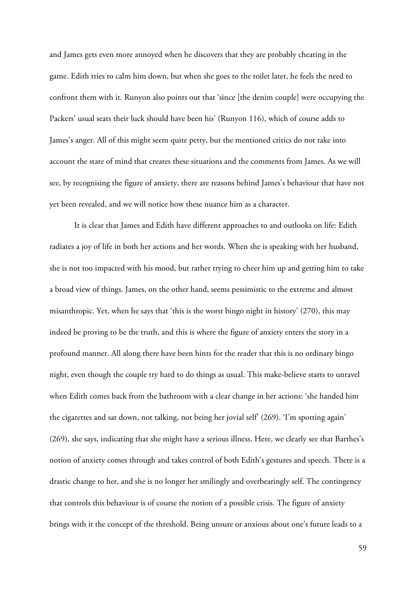and James gets even more annoyed when he discovers that they are probably cheating in the game. Edith tries to calm him down, but when she goes to the toilet later, he feels the need to confront them with it. Runyon also points out that 'since [the denim couple] were occupying the Packers' usual seats their luck should have been his' (Runyon 116), which of course adds to James's anger. All of this might seem quite petty, but the mentioned critics do not take into account the state of mind that creates these situations and the comments from James. As we will see, by recognising the figure of anxiety, there are reasons behind James's behaviour that have not yet been revealed, and we will notice how these nuance him as a character.

It is clear that James and Edith have different approaches to and outlooks on life: Edith radiates a joy of life in both her actions and her words. When she is speaking with her husband, she is not too impacted with his mood, but rather trying to cheer him up and getting him to take a broad view of things. James, on the other hand, seems pessimistic to the extreme and almost misanthropic. Yet, when he says that 'this is the worst bingo night in history' (270), this may indeed be proving to be the truth, and this is where the figure of anxiety enters the story in a profound manner. All along there have been hints for the reader that this is no ordinary bingo night, even though the couple try hard to do things as usual. This make-believe starts to unravel when Edith comes back from the bathroom with a clear change in her actions: 'she handed him the cigarettes and sat down, not talking, not being her jovial self' (269). 'I'm spotting again' (269), she says, indicating that she might have a serious illness. Here, we clearly see that Barthes's notion of anxiety comes through and takes control of both Edith's gestures and speech. There is a drastic change to her, and she is no longer her smilingly and overbearingly self. The contingency that controls this behaviour is of course the notion of a possible crisis. The figure of anxiety brings with it the concept of the threshold. Being unsure or anxious about one's future leads to a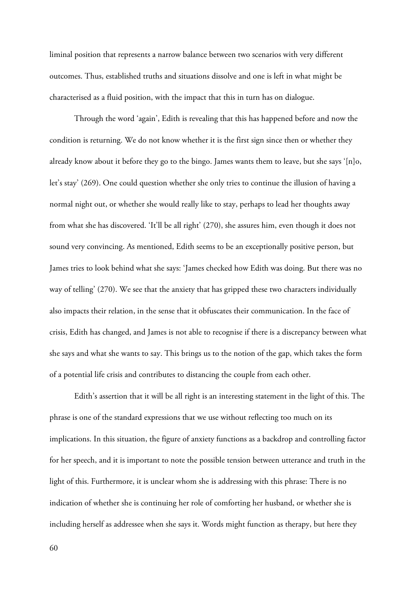liminal position that represents a narrow balance between two scenarios with very different outcomes. Thus, established truths and situations dissolve and one is left in what might be characterised as a fluid position, with the impact that this in turn has on dialogue.

Through the word 'again', Edith is revealing that this has happened before and now the condition is returning. We do not know whether it is the first sign since then or whether they already know about it before they go to the bingo. James wants them to leave, but she says '[n]o, let's stay' (269). One could question whether she only tries to continue the illusion of having a normal night out, or whether she would really like to stay, perhaps to lead her thoughts away from what she has discovered. 'It'll be all right' (270), she assures him, even though it does not sound very convincing. As mentioned, Edith seems to be an exceptionally positive person, but James tries to look behind what she says: 'James checked how Edith was doing. But there was no way of telling' (270). We see that the anxiety that has gripped these two characters individually also impacts their relation, in the sense that it obfuscates their communication. In the face of crisis, Edith has changed, and James is not able to recognise if there is a discrepancy between what she says and what she wants to say. This brings us to the notion of the gap, which takes the form of a potential life crisis and contributes to distancing the couple from each other.

Edith's assertion that it will be all right is an interesting statement in the light of this. The phrase is one of the standard expressions that we use without reflecting too much on its implications. In this situation, the figure of anxiety functions as a backdrop and controlling factor for her speech, and it is important to note the possible tension between utterance and truth in the light of this. Furthermore, it is unclear whom she is addressing with this phrase: There is no indication of whether she is continuing her role of comforting her husband, or whether she is including herself as addressee when she says it. Words might function as therapy, but here they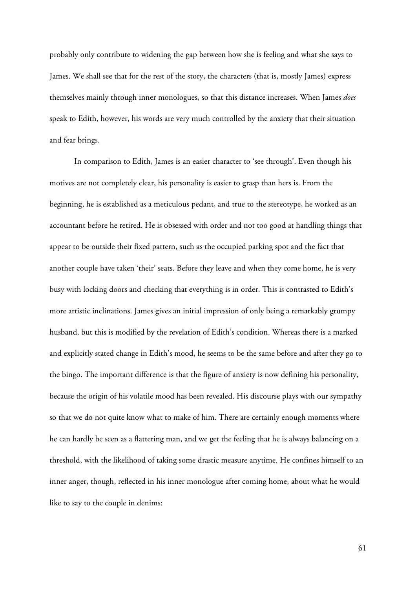probably only contribute to widening the gap between how she is feeling and what she says to James. We shall see that for the rest of the story, the characters (that is, mostly James) express themselves mainly through inner monologues, so that this distance increases. When James *does* speak to Edith, however, his words are very much controlled by the anxiety that their situation and fear brings.

In comparison to Edith, James is an easier character to 'see through'. Even though his motives are not completely clear, his personality is easier to grasp than hers is. From the beginning, he is established as a meticulous pedant, and true to the stereotype, he worked as an accountant before he retired. He is obsessed with order and not too good at handling things that appear to be outside their fixed pattern, such as the occupied parking spot and the fact that another couple have taken 'their' seats. Before they leave and when they come home, he is very busy with locking doors and checking that everything is in order. This is contrasted to Edith's more artistic inclinations. James gives an initial impression of only being a remarkably grumpy husband, but this is modified by the revelation of Edith's condition. Whereas there is a marked and explicitly stated change in Edith's mood, he seems to be the same before and after they go to the bingo. The important difference is that the figure of anxiety is now defining his personality, because the origin of his volatile mood has been revealed. His discourse plays with our sympathy so that we do not quite know what to make of him. There are certainly enough moments where he can hardly be seen as a flattering man, and we get the feeling that he is always balancing on a threshold, with the likelihood of taking some drastic measure anytime. He confines himself to an inner anger, though, reflected in his inner monologue after coming home, about what he would like to say to the couple in denims: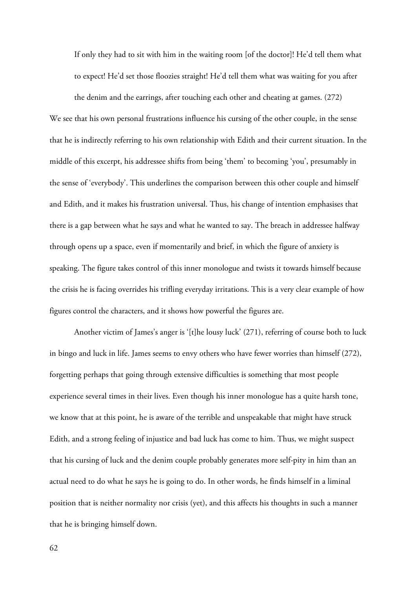If only they had to sit with him in the waiting room [of the doctor]! He'd tell them what to expect! He'd set those floozies straight! He'd tell them what was waiting for you after

the denim and the earrings, after touching each other and cheating at games. (272) We see that his own personal frustrations influence his cursing of the other couple, in the sense that he is indirectly referring to his own relationship with Edith and their current situation. In the middle of this excerpt, his addressee shifts from being 'them' to becoming 'you', presumably in the sense of 'everybody'. This underlines the comparison between this other couple and himself and Edith, and it makes his frustration universal. Thus, his change of intention emphasises that there is a gap between what he says and what he wanted to say. The breach in addressee halfway through opens up a space, even if momentarily and brief, in which the figure of anxiety is speaking. The figure takes control of this inner monologue and twists it towards himself because the crisis he is facing overrides his trifling everyday irritations. This is a very clear example of how figures control the characters, and it shows how powerful the figures are.

 Another victim of James's anger is '[t]he lousy luck' (271), referring of course both to luck in bingo and luck in life. James seems to envy others who have fewer worries than himself (272), forgetting perhaps that going through extensive difficulties is something that most people experience several times in their lives. Even though his inner monologue has a quite harsh tone, we know that at this point, he is aware of the terrible and unspeakable that might have struck Edith, and a strong feeling of injustice and bad luck has come to him. Thus, we might suspect that his cursing of luck and the denim couple probably generates more self-pity in him than an actual need to do what he says he is going to do. In other words, he finds himself in a liminal position that is neither normality nor crisis (yet), and this affects his thoughts in such a manner that he is bringing himself down.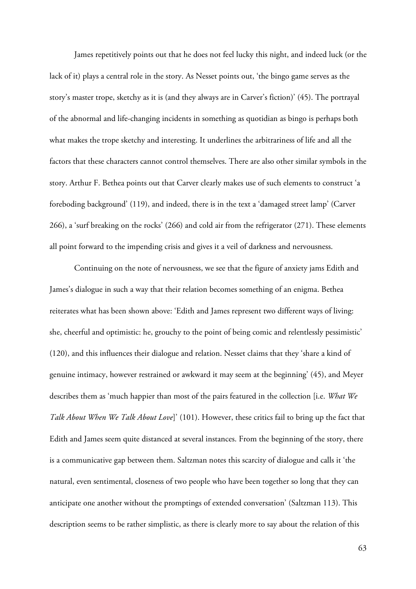James repetitively points out that he does not feel lucky this night, and indeed luck (or the lack of it) plays a central role in the story. As Nesset points out, 'the bingo game serves as the story's master trope, sketchy as it is (and they always are in Carver's fiction)' (45). The portrayal of the abnormal and life-changing incidents in something as quotidian as bingo is perhaps both what makes the trope sketchy and interesting. It underlines the arbitrariness of life and all the factors that these characters cannot control themselves. There are also other similar symbols in the story. Arthur F. Bethea points out that Carver clearly makes use of such elements to construct 'a foreboding background' (119), and indeed, there is in the text a 'damaged street lamp' (Carver 266), a 'surf breaking on the rocks' (266) and cold air from the refrigerator (271). These elements all point forward to the impending crisis and gives it a veil of darkness and nervousness.

Continuing on the note of nervousness, we see that the figure of anxiety jams Edith and James's dialogue in such a way that their relation becomes something of an enigma. Bethea reiterates what has been shown above: 'Edith and James represent two different ways of living: she, cheerful and optimistic: he, grouchy to the point of being comic and relentlessly pessimistic' (120), and this influences their dialogue and relation. Nesset claims that they 'share a kind of genuine intimacy, however restrained or awkward it may seem at the beginning' (45), and Meyer describes them as 'much happier than most of the pairs featured in the collection [i.e. *What We Talk About When We Talk About Love*]' (101). However, these critics fail to bring up the fact that Edith and James seem quite distanced at several instances. From the beginning of the story, there is a communicative gap between them. Saltzman notes this scarcity of dialogue and calls it 'the natural, even sentimental, closeness of two people who have been together so long that they can anticipate one another without the promptings of extended conversation' (Saltzman 113). This description seems to be rather simplistic, as there is clearly more to say about the relation of this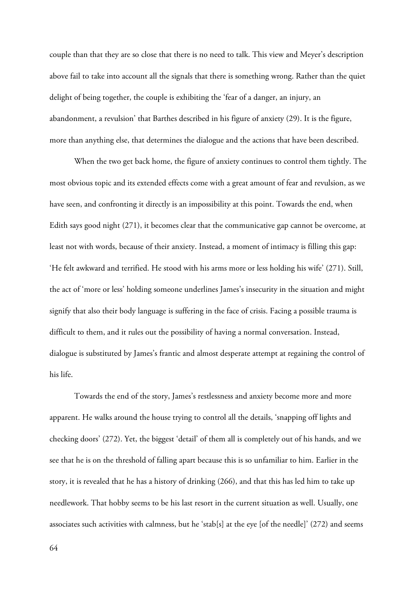couple than that they are so close that there is no need to talk. This view and Meyer's description above fail to take into account all the signals that there is something wrong. Rather than the quiet delight of being together, the couple is exhibiting the 'fear of a danger, an injury, an abandonment, a revulsion' that Barthes described in his figure of anxiety (29). It is the figure, more than anything else, that determines the dialogue and the actions that have been described.

When the two get back home, the figure of anxiety continues to control them tightly. The most obvious topic and its extended effects come with a great amount of fear and revulsion, as we have seen, and confronting it directly is an impossibility at this point. Towards the end, when Edith says good night (271), it becomes clear that the communicative gap cannot be overcome, at least not with words, because of their anxiety. Instead, a moment of intimacy is filling this gap: 'He felt awkward and terrified. He stood with his arms more or less holding his wife' (271). Still, the act of 'more or less' holding someone underlines James's insecurity in the situation and might signify that also their body language is suffering in the face of crisis. Facing a possible trauma is difficult to them, and it rules out the possibility of having a normal conversation. Instead, dialogue is substituted by James's frantic and almost desperate attempt at regaining the control of his life.

Towards the end of the story, James's restlessness and anxiety become more and more apparent. He walks around the house trying to control all the details, 'snapping off lights and checking doors' (272). Yet, the biggest 'detail' of them all is completely out of his hands, and we see that he is on the threshold of falling apart because this is so unfamiliar to him. Earlier in the story, it is revealed that he has a history of drinking (266), and that this has led him to take up needlework. That hobby seems to be his last resort in the current situation as well. Usually, one associates such activities with calmness, but he 'stab[s] at the eye [of the needle]' (272) and seems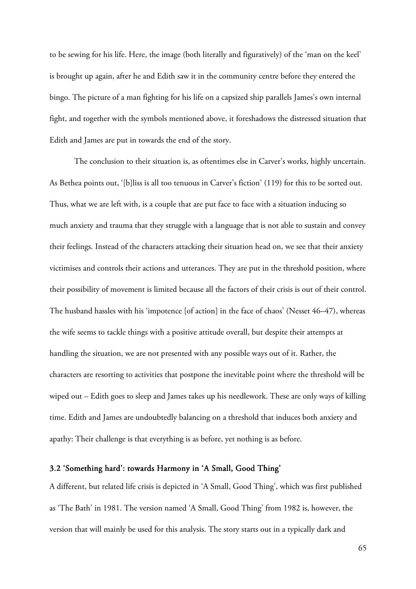to be sewing for his life. Here, the image (both literally and figuratively) of the 'man on the keel' is brought up again, after he and Edith saw it in the community centre before they entered the bingo. The picture of a man fighting for his life on a capsized ship parallels James's own internal fight, and together with the symbols mentioned above, it foreshadows the distressed situation that Edith and James are put in towards the end of the story.

The conclusion to their situation is, as oftentimes else in Carver's works, highly uncertain. As Bethea points out, '[b]liss is all too tenuous in Carver's fiction' (119) for this to be sorted out. Thus, what we are left with, is a couple that are put face to face with a situation inducing so much anxiety and trauma that they struggle with a language that is not able to sustain and convey their feelings. Instead of the characters attacking their situation head on, we see that their anxiety victimises and controls their actions and utterances. They are put in the threshold position, where their possibility of movement is limited because all the factors of their crisis is out of their control. The husband hassles with his 'impotence [of action] in the face of chaos' (Nesset 46–47), whereas the wife seems to tackle things with a positive attitude overall, but despite their attempts at handling the situation, we are not presented with any possible ways out of it. Rather, the characters are resorting to activities that postpone the inevitable point where the threshold will be wiped out – Edith goes to sleep and James takes up his needlework. These are only ways of killing time. Edith and James are undoubtedly balancing on a threshold that induces both anxiety and apathy: Their challenge is that everything is as before, yet nothing is as before.

### 3.2 'Something hard': towards Harmony in 'A Small, Good Thing'

A different, but related life crisis is depicted in 'A Small, Good Thing', which was first published as 'The Bath' in 1981. The version named 'A Small, Good Thing' from 1982 is, however, the version that will mainly be used for this analysis. The story starts out in a typically dark and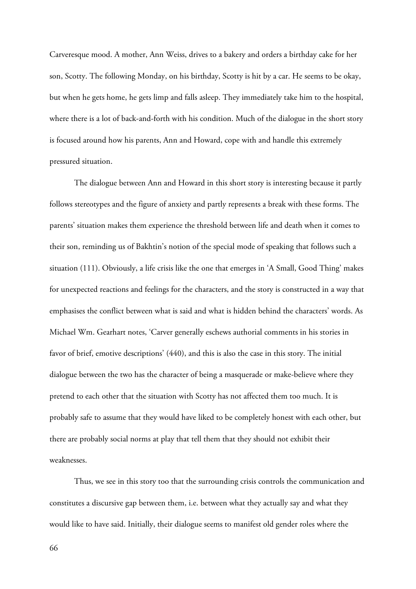Carveresque mood. A mother, Ann Weiss, drives to a bakery and orders a birthday cake for her son, Scotty. The following Monday, on his birthday, Scotty is hit by a car. He seems to be okay, but when he gets home, he gets limp and falls asleep. They immediately take him to the hospital, where there is a lot of back-and-forth with his condition. Much of the dialogue in the short story is focused around how his parents, Ann and Howard, cope with and handle this extremely pressured situation.

The dialogue between Ann and Howard in this short story is interesting because it partly follows stereotypes and the figure of anxiety and partly represents a break with these forms. The parents' situation makes them experience the threshold between life and death when it comes to their son, reminding us of Bakhtin's notion of the special mode of speaking that follows such a situation (111). Obviously, a life crisis like the one that emerges in 'A Small, Good Thing' makes for unexpected reactions and feelings for the characters, and the story is constructed in a way that emphasises the conflict between what is said and what is hidden behind the characters' words. As Michael Wm. Gearhart notes, 'Carver generally eschews authorial comments in his stories in favor of brief, emotive descriptions' (440), and this is also the case in this story. The initial dialogue between the two has the character of being a masquerade or make-believe where they pretend to each other that the situation with Scotty has not affected them too much. It is probably safe to assume that they would have liked to be completely honest with each other, but there are probably social norms at play that tell them that they should not exhibit their weaknesses.

Thus, we see in this story too that the surrounding crisis controls the communication and constitutes a discursive gap between them, i.e. between what they actually say and what they would like to have said. Initially, their dialogue seems to manifest old gender roles where the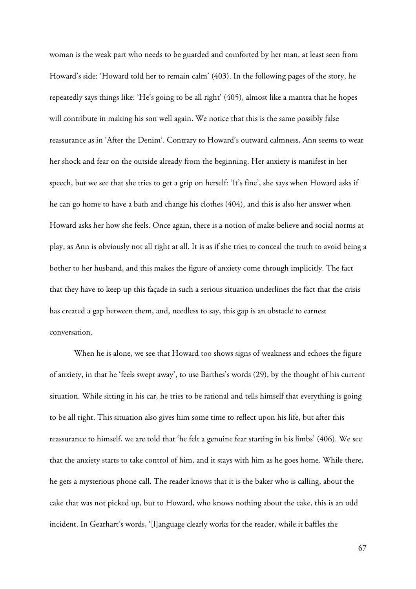woman is the weak part who needs to be guarded and comforted by her man, at least seen from Howard's side: 'Howard told her to remain calm' (403). In the following pages of the story, he repeatedly says things like: 'He's going to be all right' (405), almost like a mantra that he hopes will contribute in making his son well again. We notice that this is the same possibly false reassurance as in 'After the Denim'. Contrary to Howard's outward calmness, Ann seems to wear her shock and fear on the outside already from the beginning. Her anxiety is manifest in her speech, but we see that she tries to get a grip on herself: 'It's fine', she says when Howard asks if he can go home to have a bath and change his clothes (404), and this is also her answer when Howard asks her how she feels. Once again, there is a notion of make-believe and social norms at play, as Ann is obviously not all right at all. It is as if she tries to conceal the truth to avoid being a bother to her husband, and this makes the figure of anxiety come through implicitly. The fact that they have to keep up this façade in such a serious situation underlines the fact that the crisis has created a gap between them, and, needless to say, this gap is an obstacle to earnest conversation.

When he is alone, we see that Howard too shows signs of weakness and echoes the figure of anxiety, in that he 'feels swept away', to use Barthes's words (29), by the thought of his current situation. While sitting in his car, he tries to be rational and tells himself that everything is going to be all right. This situation also gives him some time to reflect upon his life, but after this reassurance to himself, we are told that 'he felt a genuine fear starting in his limbs' (406). We see that the anxiety starts to take control of him, and it stays with him as he goes home. While there, he gets a mysterious phone call. The reader knows that it is the baker who is calling, about the cake that was not picked up, but to Howard, who knows nothing about the cake, this is an odd incident. In Gearhart's words, '[l]anguage clearly works for the reader, while it baffles the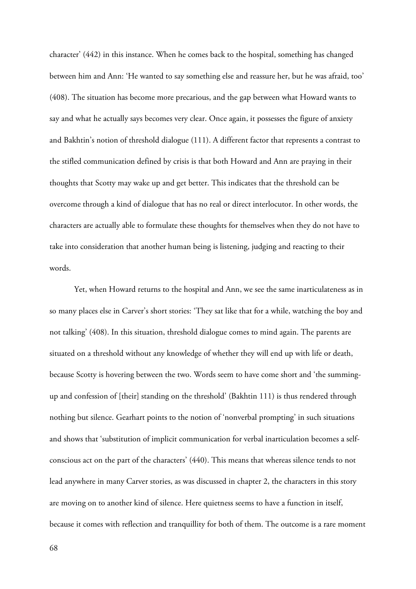character' (442) in this instance. When he comes back to the hospital, something has changed between him and Ann: 'He wanted to say something else and reassure her, but he was afraid, too' (408). The situation has become more precarious, and the gap between what Howard wants to say and what he actually says becomes very clear. Once again, it possesses the figure of anxiety and Bakhtin's notion of threshold dialogue (111). A different factor that represents a contrast to the stifled communication defined by crisis is that both Howard and Ann are praying in their thoughts that Scotty may wake up and get better. This indicates that the threshold can be overcome through a kind of dialogue that has no real or direct interlocutor. In other words, the characters are actually able to formulate these thoughts for themselves when they do not have to take into consideration that another human being is listening, judging and reacting to their words.

Yet, when Howard returns to the hospital and Ann, we see the same inarticulateness as in so many places else in Carver's short stories: 'They sat like that for a while, watching the boy and not talking' (408). In this situation, threshold dialogue comes to mind again. The parents are situated on a threshold without any knowledge of whether they will end up with life or death, because Scotty is hovering between the two. Words seem to have come short and 'the summingup and confession of [their] standing on the threshold' (Bakhtin 111) is thus rendered through nothing but silence. Gearhart points to the notion of 'nonverbal prompting' in such situations and shows that 'substitution of implicit communication for verbal inarticulation becomes a selfconscious act on the part of the characters' (440). This means that whereas silence tends to not lead anywhere in many Carver stories, as was discussed in chapter 2, the characters in this story are moving on to another kind of silence. Here quietness seems to have a function in itself, because it comes with reflection and tranquillity for both of them. The outcome is a rare moment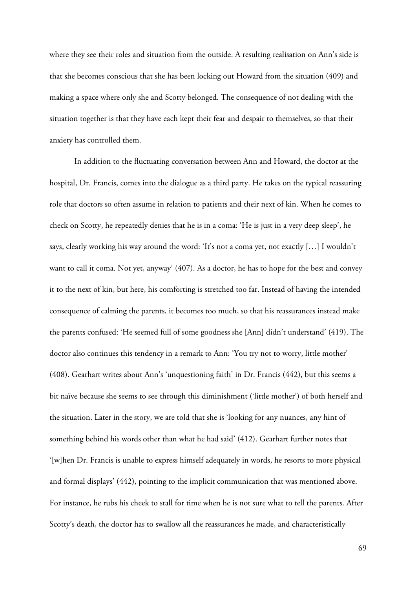where they see their roles and situation from the outside. A resulting realisation on Ann's side is that she becomes conscious that she has been locking out Howard from the situation (409) and making a space where only she and Scotty belonged. The consequence of not dealing with the situation together is that they have each kept their fear and despair to themselves, so that their anxiety has controlled them.

In addition to the fluctuating conversation between Ann and Howard, the doctor at the hospital, Dr. Francis, comes into the dialogue as a third party. He takes on the typical reassuring role that doctors so often assume in relation to patients and their next of kin. When he comes to check on Scotty, he repeatedly denies that he is in a coma: 'He is just in a very deep sleep', he says, clearly working his way around the word: 'It's not a coma yet, not exactly […] I wouldn't want to call it coma. Not yet, anyway' (407). As a doctor, he has to hope for the best and convey it to the next of kin, but here, his comforting is stretched too far. Instead of having the intended consequence of calming the parents, it becomes too much, so that his reassurances instead make the parents confused: 'He seemed full of some goodness she [Ann] didn't understand' (419). The doctor also continues this tendency in a remark to Ann: 'You try not to worry, little mother' (408). Gearhart writes about Ann's 'unquestioning faith' in Dr. Francis (442), but this seems a bit naïve because she seems to see through this diminishment ('little mother') of both herself and the situation. Later in the story, we are told that she is 'looking for any nuances, any hint of something behind his words other than what he had said' (412). Gearhart further notes that '[w]hen Dr. Francis is unable to express himself adequately in words, he resorts to more physical and formal displays' (442), pointing to the implicit communication that was mentioned above. For instance, he rubs his cheek to stall for time when he is not sure what to tell the parents. After Scotty's death, the doctor has to swallow all the reassurances he made, and characteristically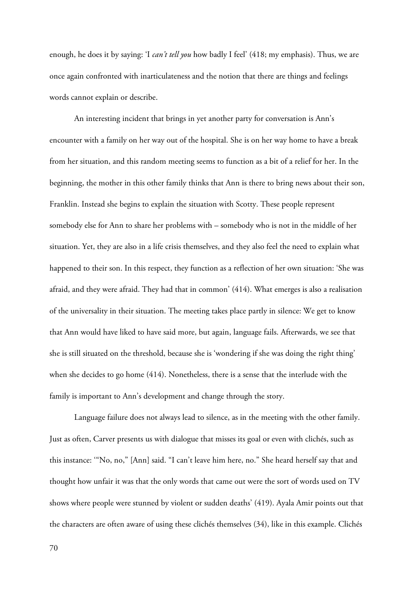enough, he does it by saying: 'I *can't tell you* how badly I feel' (418; my emphasis). Thus, we are once again confronted with inarticulateness and the notion that there are things and feelings words cannot explain or describe.

An interesting incident that brings in yet another party for conversation is Ann's encounter with a family on her way out of the hospital. She is on her way home to have a break from her situation, and this random meeting seems to function as a bit of a relief for her. In the beginning, the mother in this other family thinks that Ann is there to bring news about their son, Franklin. Instead she begins to explain the situation with Scotty. These people represent somebody else for Ann to share her problems with – somebody who is not in the middle of her situation. Yet, they are also in a life crisis themselves, and they also feel the need to explain what happened to their son. In this respect, they function as a reflection of her own situation: 'She was afraid, and they were afraid. They had that in common' (414). What emerges is also a realisation of the universality in their situation. The meeting takes place partly in silence: We get to know that Ann would have liked to have said more, but again, language fails. Afterwards, we see that she is still situated on the threshold, because she is 'wondering if she was doing the right thing' when she decides to go home (414). Nonetheless, there is a sense that the interlude with the family is important to Ann's development and change through the story.

Language failure does not always lead to silence, as in the meeting with the other family. Just as often, Carver presents us with dialogue that misses its goal or even with clichés, such as this instance: '"No, no," [Ann] said. "I can't leave him here, no." She heard herself say that and thought how unfair it was that the only words that came out were the sort of words used on TV shows where people were stunned by violent or sudden deaths' (419). Ayala Amir points out that the characters are often aware of using these clichés themselves (34), like in this example. Clichés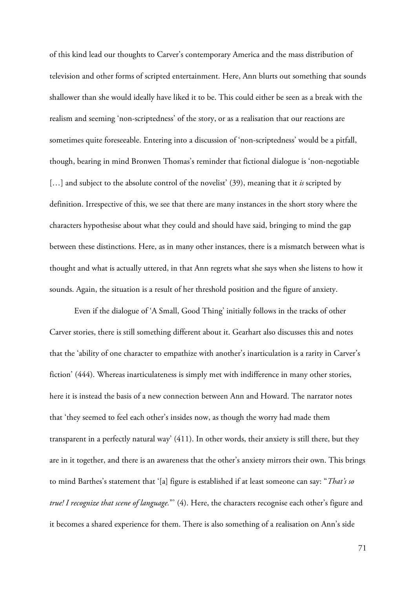of this kind lead our thoughts to Carver's contemporary America and the mass distribution of television and other forms of scripted entertainment. Here, Ann blurts out something that sounds shallower than she would ideally have liked it to be. This could either be seen as a break with the realism and seeming 'non-scriptedness' of the story, or as a realisation that our reactions are sometimes quite foreseeable. Entering into a discussion of 'non-scriptedness' would be a pitfall, though, bearing in mind Bronwen Thomas's reminder that fictional dialogue is 'non-negotiable [...] and subject to the absolute control of the novelist' (39), meaning that it *is* scripted by definition. Irrespective of this, we see that there are many instances in the short story where the characters hypothesise about what they could and should have said, bringing to mind the gap between these distinctions. Here, as in many other instances, there is a mismatch between what is thought and what is actually uttered, in that Ann regrets what she says when she listens to how it sounds. Again, the situation is a result of her threshold position and the figure of anxiety.

 Even if the dialogue of 'A Small, Good Thing' initially follows in the tracks of other Carver stories, there is still something different about it. Gearhart also discusses this and notes that the 'ability of one character to empathize with another's inarticulation is a rarity in Carver's fiction' (444). Whereas inarticulateness is simply met with indifference in many other stories, here it is instead the basis of a new connection between Ann and Howard. The narrator notes that 'they seemed to feel each other's insides now, as though the worry had made them transparent in a perfectly natural way' (411). In other words, their anxiety is still there, but they are in it together, and there is an awareness that the other's anxiety mirrors their own. This brings to mind Barthes's statement that '[a] figure is established if at least someone can say: "*That's so true! I recognize that scene of language.*"' (4). Here, the characters recognise each other's figure and it becomes a shared experience for them. There is also something of a realisation on Ann's side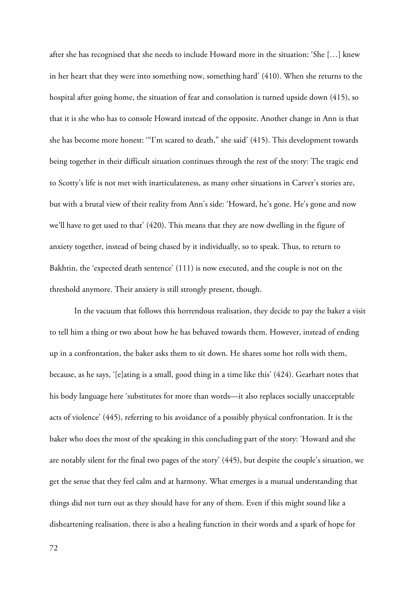after she has recognised that she needs to include Howard more in the situation: 'She […] knew in her heart that they were into something now, something hard' (410). When she returns to the hospital after going home, the situation of fear and consolation is turned upside down (415), so that it is she who has to console Howard instead of the opposite. Another change in Ann is that she has become more honest: '"I'm scared to death," she said' (415). This development towards being together in their difficult situation continues through the rest of the story: The tragic end to Scotty's life is not met with inarticulateness, as many other situations in Carver's stories are, but with a brutal view of their reality from Ann's side: 'Howard, he's gone. He's gone and now we'll have to get used to that' (420). This means that they are now dwelling in the figure of anxiety together, instead of being chased by it individually, so to speak. Thus, to return to Bakhtin, the 'expected death sentence' (111) is now executed, and the couple is not on the threshold anymore. Their anxiety is still strongly present, though.

In the vacuum that follows this horrendous realisation, they decide to pay the baker a visit to tell him a thing or two about how he has behaved towards them. However, instead of ending up in a confrontation, the baker asks them to sit down. He shares some hot rolls with them, because, as he says, '[e]ating is a small, good thing in a time like this' (424). Gearhart notes that his body language here 'substitutes for more than words—it also replaces socially unacceptable acts of violence' (445), referring to his avoidance of a possibly physical confrontation. It is the baker who does the most of the speaking in this concluding part of the story: 'Howard and she are notably silent for the final two pages of the story' (445), but despite the couple's situation, we get the sense that they feel calm and at harmony. What emerges is a mutual understanding that things did not turn out as they should have for any of them. Even if this might sound like a disheartening realisation, there is also a healing function in their words and a spark of hope for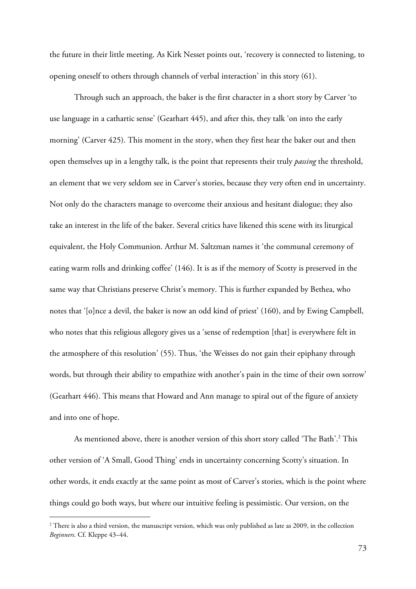the future in their little meeting. As Kirk Nesset points out, 'recovery is connected to listening, to opening oneself to others through channels of verbal interaction' in this story (61).

Through such an approach, the baker is the first character in a short story by Carver 'to use language in a cathartic sense' (Gearhart 445), and after this, they talk 'on into the early morning' (Carver 425). This moment in the story, when they first hear the baker out and then open themselves up in a lengthy talk, is the point that represents their truly *passing* the threshold, an element that we very seldom see in Carver's stories, because they very often end in uncertainty. Not only do the characters manage to overcome their anxious and hesitant dialogue; they also take an interest in the life of the baker. Several critics have likened this scene with its liturgical equivalent, the Holy Communion. Arthur M. Saltzman names it 'the communal ceremony of eating warm rolls and drinking coffee' (146). It is as if the memory of Scotty is preserved in the same way that Christians preserve Christ's memory. This is further expanded by Bethea, who notes that '[o]nce a devil, the baker is now an odd kind of priest' (160), and by Ewing Campbell, who notes that this religious allegory gives us a 'sense of redemption [that] is everywhere felt in the atmosphere of this resolution' (55). Thus, 'the Weisses do not gain their epiphany through words, but through their ability to empathize with another's pain in the time of their own sorrow' (Gearhart 446). This means that Howard and Ann manage to spiral out of the figure of anxiety and into one of hope.

As mentioned above, there is another version of this short story called 'The Bath'.<sup>2</sup> This other version of 'A Small, Good Thing' ends in uncertainty concerning Scotty's situation. In other words, it ends exactly at the same point as most of Carver's stories, which is the point where things could go both ways, but where our intuitive feeling is pessimistic. Our version, on the

 $\overline{a}$ 

 $2$  There is also a third version, the manuscript version, which was only published as late as 2009, in the collection *Beginners*. Cf. Kleppe 43–44.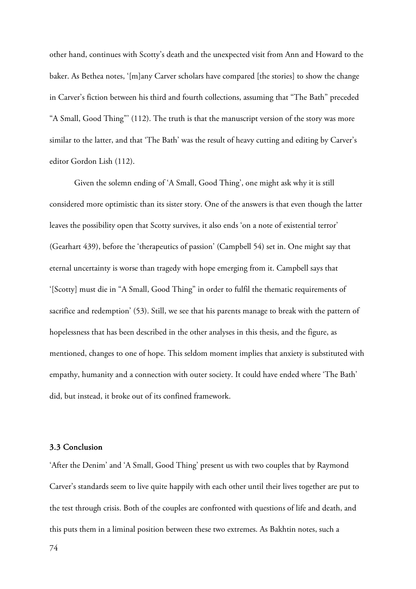other hand, continues with Scotty's death and the unexpected visit from Ann and Howard to the baker. As Bethea notes, '[m]any Carver scholars have compared [the stories] to show the change in Carver's fiction between his third and fourth collections, assuming that "The Bath" preceded "A Small, Good Thing"' (112). The truth is that the manuscript version of the story was more similar to the latter, and that 'The Bath' was the result of heavy cutting and editing by Carver's editor Gordon Lish (112).

Given the solemn ending of 'A Small, Good Thing', one might ask why it is still considered more optimistic than its sister story. One of the answers is that even though the latter leaves the possibility open that Scotty survives, it also ends 'on a note of existential terror' (Gearhart 439), before the 'therapeutics of passion' (Campbell 54) set in. One might say that eternal uncertainty is worse than tragedy with hope emerging from it. Campbell says that '[Scotty] must die in "A Small, Good Thing" in order to fulfil the thematic requirements of sacrifice and redemption' (53). Still, we see that his parents manage to break with the pattern of hopelessness that has been described in the other analyses in this thesis, and the figure, as mentioned, changes to one of hope. This seldom moment implies that anxiety is substituted with empathy, humanity and a connection with outer society. It could have ended where 'The Bath' did, but instead, it broke out of its confined framework.

## 3.3 Conclusion

'After the Denim' and 'A Small, Good Thing' present us with two couples that by Raymond Carver's standards seem to live quite happily with each other until their lives together are put to the test through crisis. Both of the couples are confronted with questions of life and death, and this puts them in a liminal position between these two extremes. As Bakhtin notes, such a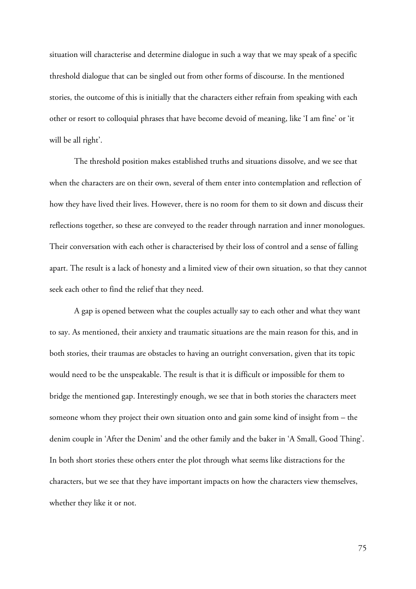situation will characterise and determine dialogue in such a way that we may speak of a specific threshold dialogue that can be singled out from other forms of discourse. In the mentioned stories, the outcome of this is initially that the characters either refrain from speaking with each other or resort to colloquial phrases that have become devoid of meaning, like 'I am fine' or 'it will be all right'.

The threshold position makes established truths and situations dissolve, and we see that when the characters are on their own, several of them enter into contemplation and reflection of how they have lived their lives. However, there is no room for them to sit down and discuss their reflections together, so these are conveyed to the reader through narration and inner monologues. Their conversation with each other is characterised by their loss of control and a sense of falling apart. The result is a lack of honesty and a limited view of their own situation, so that they cannot seek each other to find the relief that they need.

A gap is opened between what the couples actually say to each other and what they want to say. As mentioned, their anxiety and traumatic situations are the main reason for this, and in both stories, their traumas are obstacles to having an outright conversation, given that its topic would need to be the unspeakable. The result is that it is difficult or impossible for them to bridge the mentioned gap. Interestingly enough, we see that in both stories the characters meet someone whom they project their own situation onto and gain some kind of insight from – the denim couple in 'After the Denim' and the other family and the baker in 'A Small, Good Thing'. In both short stories these others enter the plot through what seems like distractions for the characters, but we see that they have important impacts on how the characters view themselves, whether they like it or not.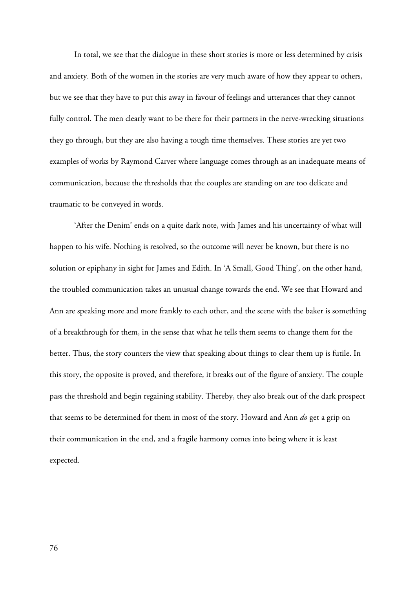In total, we see that the dialogue in these short stories is more or less determined by crisis and anxiety. Both of the women in the stories are very much aware of how they appear to others, but we see that they have to put this away in favour of feelings and utterances that they cannot fully control. The men clearly want to be there for their partners in the nerve-wrecking situations they go through, but they are also having a tough time themselves. These stories are yet two examples of works by Raymond Carver where language comes through as an inadequate means of communication, because the thresholds that the couples are standing on are too delicate and traumatic to be conveyed in words.

'After the Denim' ends on a quite dark note, with James and his uncertainty of what will happen to his wife. Nothing is resolved, so the outcome will never be known, but there is no solution or epiphany in sight for James and Edith. In 'A Small, Good Thing', on the other hand, the troubled communication takes an unusual change towards the end. We see that Howard and Ann are speaking more and more frankly to each other, and the scene with the baker is something of a breakthrough for them, in the sense that what he tells them seems to change them for the better. Thus, the story counters the view that speaking about things to clear them up is futile. In this story, the opposite is proved, and therefore, it breaks out of the figure of anxiety. The couple pass the threshold and begin regaining stability. Thereby, they also break out of the dark prospect that seems to be determined for them in most of the story. Howard and Ann *do* get a grip on their communication in the end, and a fragile harmony comes into being where it is least expected.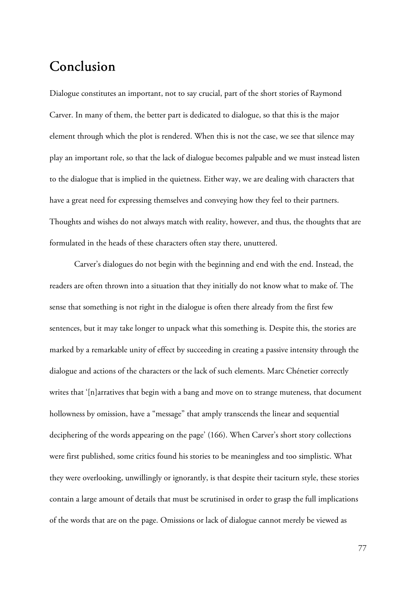# **Conclusion**

Dialogue constitutes an important, not to say crucial, part of the short stories of Raymond Carver. In many of them, the better part is dedicated to dialogue, so that this is the major element through which the plot is rendered. When this is not the case, we see that silence may play an important role, so that the lack of dialogue becomes palpable and we must instead listen to the dialogue that is implied in the quietness. Either way, we are dealing with characters that have a great need for expressing themselves and conveying how they feel to their partners. Thoughts and wishes do not always match with reality, however, and thus, the thoughts that are formulated in the heads of these characters often stay there, unuttered.

Carver's dialogues do not begin with the beginning and end with the end. Instead, the readers are often thrown into a situation that they initially do not know what to make of. The sense that something is not right in the dialogue is often there already from the first few sentences, but it may take longer to unpack what this something is. Despite this, the stories are marked by a remarkable unity of effect by succeeding in creating a passive intensity through the dialogue and actions of the characters or the lack of such elements. Marc Chénetier correctly writes that '[n]arratives that begin with a bang and move on to strange muteness, that document hollowness by omission, have a "message" that amply transcends the linear and sequential deciphering of the words appearing on the page' (166). When Carver's short story collections were first published, some critics found his stories to be meaningless and too simplistic. What they were overlooking, unwillingly or ignorantly, is that despite their taciturn style, these stories contain a large amount of details that must be scrutinised in order to grasp the full implications of the words that are on the page. Omissions or lack of dialogue cannot merely be viewed as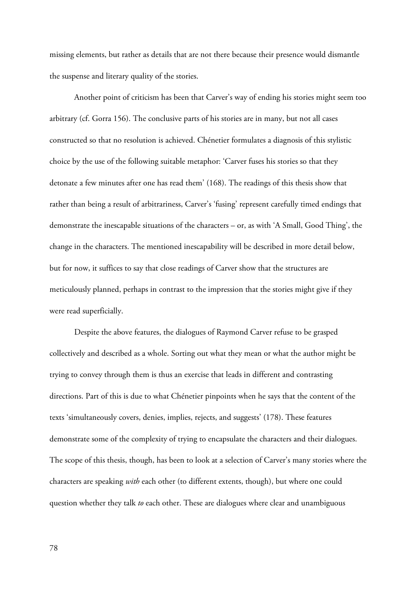missing elements, but rather as details that are not there because their presence would dismantle the suspense and literary quality of the stories.

Another point of criticism has been that Carver's way of ending his stories might seem too arbitrary (cf. Gorra 156). The conclusive parts of his stories are in many, but not all cases constructed so that no resolution is achieved. Chénetier formulates a diagnosis of this stylistic choice by the use of the following suitable metaphor: 'Carver fuses his stories so that they detonate a few minutes after one has read them' (168). The readings of this thesis show that rather than being a result of arbitrariness, Carver's 'fusing' represent carefully timed endings that demonstrate the inescapable situations of the characters – or, as with 'A Small, Good Thing', the change in the characters. The mentioned inescapability will be described in more detail below, but for now, it suffices to say that close readings of Carver show that the structures are meticulously planned, perhaps in contrast to the impression that the stories might give if they were read superficially.

Despite the above features, the dialogues of Raymond Carver refuse to be grasped collectively and described as a whole. Sorting out what they mean or what the author might be trying to convey through them is thus an exercise that leads in different and contrasting directions. Part of this is due to what Chénetier pinpoints when he says that the content of the texts 'simultaneously covers, denies, implies, rejects, and suggests' (178). These features demonstrate some of the complexity of trying to encapsulate the characters and their dialogues. The scope of this thesis, though, has been to look at a selection of Carver's many stories where the characters are speaking *with* each other (to different extents, though), but where one could question whether they talk *to* each other. These are dialogues where clear and unambiguous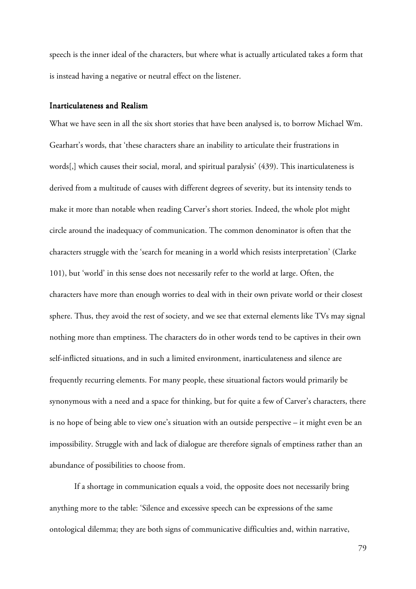speech is the inner ideal of the characters, but where what is actually articulated takes a form that is instead having a negative or neutral effect on the listener.

### Inarticulateness and Realism

What we have seen in all the six short stories that have been analysed is, to borrow Michael Wm. Gearhart's words, that 'these characters share an inability to articulate their frustrations in words[,] which causes their social, moral, and spiritual paralysis' (439). This inarticulateness is derived from a multitude of causes with different degrees of severity, but its intensity tends to make it more than notable when reading Carver's short stories. Indeed, the whole plot might circle around the inadequacy of communication. The common denominator is often that the characters struggle with the 'search for meaning in a world which resists interpretation' (Clarke 101), but 'world' in this sense does not necessarily refer to the world at large. Often, the characters have more than enough worries to deal with in their own private world or their closest sphere. Thus, they avoid the rest of society, and we see that external elements like TVs may signal nothing more than emptiness. The characters do in other words tend to be captives in their own self-inflicted situations, and in such a limited environment, inarticulateness and silence are frequently recurring elements. For many people, these situational factors would primarily be synonymous with a need and a space for thinking, but for quite a few of Carver's characters, there is no hope of being able to view one's situation with an outside perspective – it might even be an impossibility. Struggle with and lack of dialogue are therefore signals of emptiness rather than an abundance of possibilities to choose from.

 If a shortage in communication equals a void, the opposite does not necessarily bring anything more to the table: 'Silence and excessive speech can be expressions of the same ontological dilemma; they are both signs of communicative difficulties and, within narrative,

79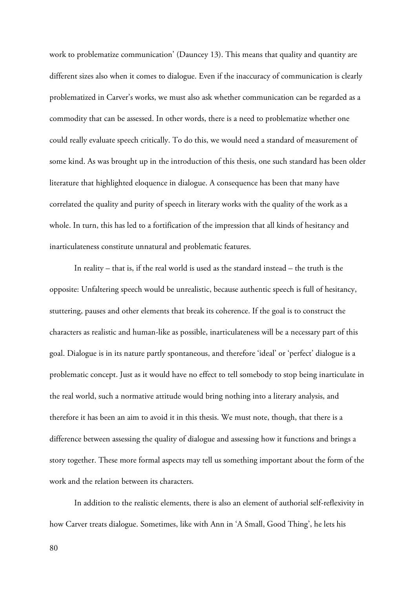work to problematize communication' (Dauncey 13). This means that quality and quantity are different sizes also when it comes to dialogue. Even if the inaccuracy of communication is clearly problematized in Carver's works, we must also ask whether communication can be regarded as a commodity that can be assessed. In other words, there is a need to problematize whether one could really evaluate speech critically. To do this, we would need a standard of measurement of some kind. As was brought up in the introduction of this thesis, one such standard has been older literature that highlighted eloquence in dialogue. A consequence has been that many have correlated the quality and purity of speech in literary works with the quality of the work as a whole. In turn, this has led to a fortification of the impression that all kinds of hesitancy and inarticulateness constitute unnatural and problematic features.

 In reality – that is, if the real world is used as the standard instead – the truth is the opposite: Unfaltering speech would be unrealistic, because authentic speech is full of hesitancy, stuttering, pauses and other elements that break its coherence. If the goal is to construct the characters as realistic and human-like as possible, inarticulateness will be a necessary part of this goal. Dialogue is in its nature partly spontaneous, and therefore 'ideal' or 'perfect' dialogue is a problematic concept. Just as it would have no effect to tell somebody to stop being inarticulate in the real world, such a normative attitude would bring nothing into a literary analysis, and therefore it has been an aim to avoid it in this thesis. We must note, though, that there is a difference between assessing the quality of dialogue and assessing how it functions and brings a story together. These more formal aspects may tell us something important about the form of the work and the relation between its characters.

In addition to the realistic elements, there is also an element of authorial self-reflexivity in how Carver treats dialogue. Sometimes, like with Ann in 'A Small, Good Thing', he lets his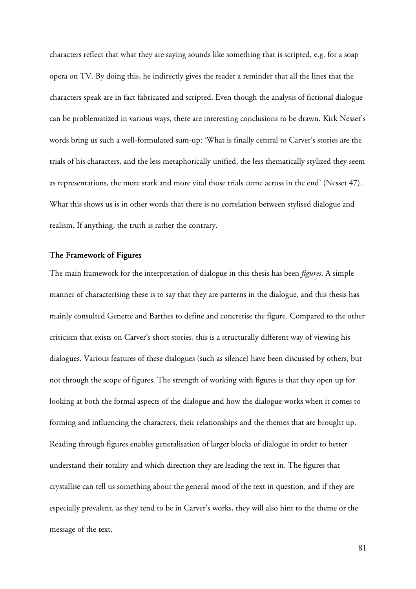characters reflect that what they are saying sounds like something that is scripted, e.g. for a soap opera on TV. By doing this, he indirectly gives the reader a reminder that all the lines that the characters speak are in fact fabricated and scripted. Even though the analysis of fictional dialogue can be problematized in various ways, there are interesting conclusions to be drawn. Kirk Nesset's words bring us such a well-formulated sum-up: 'What is finally central to Carver's stories are the trials of his characters, and the less metaphorically unified, the less thematically stylized they seem as representations, the more stark and more vital those trials come across in the end' (Nesset 47). What this shows us is in other words that there is no correlation between stylised dialogue and realism. If anything, the truth is rather the contrary.

#### The Framework of Figures

The main framework for the interpretation of dialogue in this thesis has been *figures*. A simple manner of characterising these is to say that they are patterns in the dialogue, and this thesis has mainly consulted Genette and Barthes to define and concretise the figure. Compared to the other criticism that exists on Carver's short stories, this is a structurally different way of viewing his dialogues. Various features of these dialogues (such as silence) have been discussed by others, but not through the scope of figures. The strength of working with figures is that they open up for looking at both the formal aspects of the dialogue and how the dialogue works when it comes to forming and influencing the characters, their relationships and the themes that are brought up. Reading through figures enables generalisation of larger blocks of dialogue in order to better understand their totality and which direction they are leading the text in. The figures that crystallise can tell us something about the general mood of the text in question, and if they are especially prevalent, as they tend to be in Carver's works, they will also hint to the theme or the message of the text.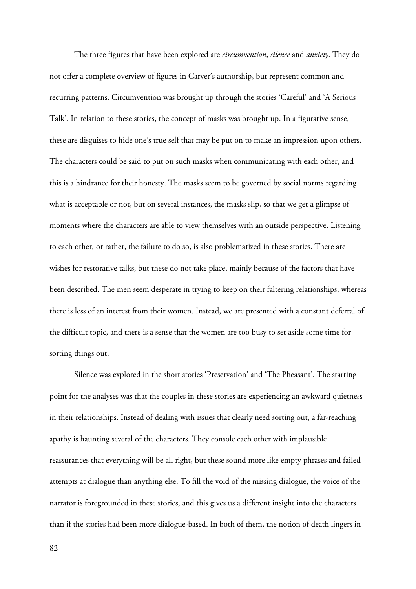The three figures that have been explored are *circumvention*, *silence* and *anxiety*. They do not offer a complete overview of figures in Carver's authorship, but represent common and recurring patterns. Circumvention was brought up through the stories 'Careful' and 'A Serious Talk'. In relation to these stories, the concept of masks was brought up. In a figurative sense, these are disguises to hide one's true self that may be put on to make an impression upon others. The characters could be said to put on such masks when communicating with each other, and this is a hindrance for their honesty. The masks seem to be governed by social norms regarding what is acceptable or not, but on several instances, the masks slip, so that we get a glimpse of moments where the characters are able to view themselves with an outside perspective. Listening to each other, or rather, the failure to do so, is also problematized in these stories. There are wishes for restorative talks, but these do not take place, mainly because of the factors that have been described. The men seem desperate in trying to keep on their faltering relationships, whereas there is less of an interest from their women. Instead, we are presented with a constant deferral of the difficult topic, and there is a sense that the women are too busy to set aside some time for sorting things out.

Silence was explored in the short stories 'Preservation' and 'The Pheasant'. The starting point for the analyses was that the couples in these stories are experiencing an awkward quietness in their relationships. Instead of dealing with issues that clearly need sorting out, a far-reaching apathy is haunting several of the characters. They console each other with implausible reassurances that everything will be all right, but these sound more like empty phrases and failed attempts at dialogue than anything else. To fill the void of the missing dialogue, the voice of the narrator is foregrounded in these stories, and this gives us a different insight into the characters than if the stories had been more dialogue-based. In both of them, the notion of death lingers in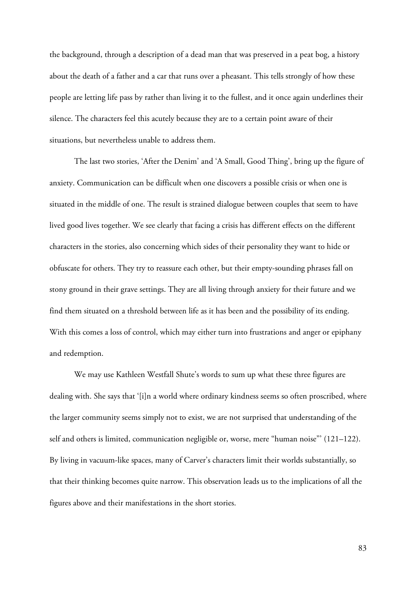the background, through a description of a dead man that was preserved in a peat bog, a history about the death of a father and a car that runs over a pheasant. This tells strongly of how these people are letting life pass by rather than living it to the fullest, and it once again underlines their silence. The characters feel this acutely because they are to a certain point aware of their situations, but nevertheless unable to address them.

The last two stories, 'After the Denim' and 'A Small, Good Thing', bring up the figure of anxiety. Communication can be difficult when one discovers a possible crisis or when one is situated in the middle of one. The result is strained dialogue between couples that seem to have lived good lives together. We see clearly that facing a crisis has different effects on the different characters in the stories, also concerning which sides of their personality they want to hide or obfuscate for others. They try to reassure each other, but their empty-sounding phrases fall on stony ground in their grave settings. They are all living through anxiety for their future and we find them situated on a threshold between life as it has been and the possibility of its ending. With this comes a loss of control, which may either turn into frustrations and anger or epiphany and redemption.

We may use Kathleen Westfall Shute's words to sum up what these three figures are dealing with. She says that '[i]n a world where ordinary kindness seems so often proscribed, where the larger community seems simply not to exist, we are not surprised that understanding of the self and others is limited, communication negligible or, worse, mere "human noise"' (121–122). By living in vacuum-like spaces, many of Carver's characters limit their worlds substantially, so that their thinking becomes quite narrow. This observation leads us to the implications of all the figures above and their manifestations in the short stories.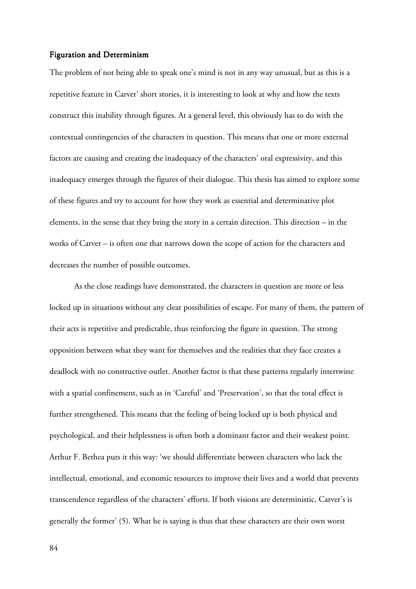#### Figuration and Determinism

The problem of not being able to speak one's mind is not in any way unusual, but as this is a repetitive feature in Carver' short stories, it is interesting to look at why and how the texts construct this inability through figures. At a general level, this obviously has to do with the contextual contingencies of the characters in question. This means that one or more external factors are causing and creating the inadequacy of the characters' oral expressivity, and this inadequacy emerges through the figures of their dialogue. This thesis has aimed to explore some of these figures and try to account for how they work as essential and determinative plot elements, in the sense that they bring the story in a certain direction. This direction – in the works of Carver – is often one that narrows down the scope of action for the characters and decreases the number of possible outcomes.

As the close readings have demonstrated, the characters in question are more or less locked up in situations without any clear possibilities of escape. For many of them, the pattern of their acts is repetitive and predictable, thus reinforcing the figure in question. The strong opposition between what they want for themselves and the realities that they face creates a deadlock with no constructive outlet. Another factor is that these patterns regularly intertwine with a spatial confinement, such as in 'Careful' and 'Preservation', so that the total effect is further strengthened. This means that the feeling of being locked up is both physical and psychological, and their helplessness is often both a dominant factor and their weakest point. Arthur F. Bethea puts it this way: 'we should differentiate between characters who lack the intellectual, emotional, and economic resources to improve their lives and a world that prevents transcendence regardless of the characters' efforts. If both visions are deterministic, Carver's is generally the former' (5). What he is saying is thus that these characters are their own worst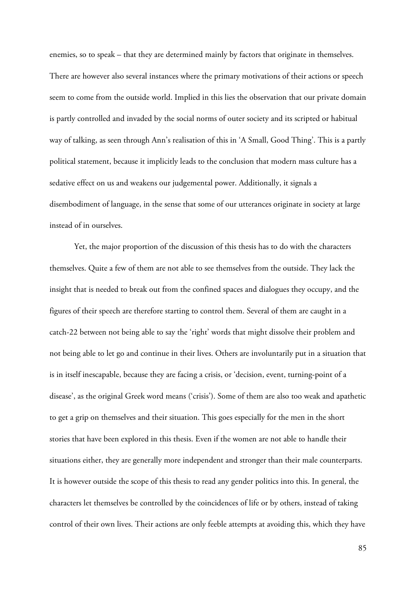enemies, so to speak – that they are determined mainly by factors that originate in themselves. There are however also several instances where the primary motivations of their actions or speech seem to come from the outside world. Implied in this lies the observation that our private domain is partly controlled and invaded by the social norms of outer society and its scripted or habitual way of talking, as seen through Ann's realisation of this in 'A Small, Good Thing'. This is a partly political statement, because it implicitly leads to the conclusion that modern mass culture has a sedative effect on us and weakens our judgemental power. Additionally, it signals a disembodiment of language, in the sense that some of our utterances originate in society at large instead of in ourselves.

Yet, the major proportion of the discussion of this thesis has to do with the characters themselves. Quite a few of them are not able to see themselves from the outside. They lack the insight that is needed to break out from the confined spaces and dialogues they occupy, and the figures of their speech are therefore starting to control them. Several of them are caught in a catch-22 between not being able to say the 'right' words that might dissolve their problem and not being able to let go and continue in their lives. Others are involuntarily put in a situation that is in itself inescapable, because they are facing a crisis, or 'decision, event, turning-point of a disease', as the original Greek word means ('crisis'). Some of them are also too weak and apathetic to get a grip on themselves and their situation. This goes especially for the men in the short stories that have been explored in this thesis. Even if the women are not able to handle their situations either, they are generally more independent and stronger than their male counterparts. It is however outside the scope of this thesis to read any gender politics into this. In general, the characters let themselves be controlled by the coincidences of life or by others, instead of taking control of their own lives. Their actions are only feeble attempts at avoiding this, which they have

85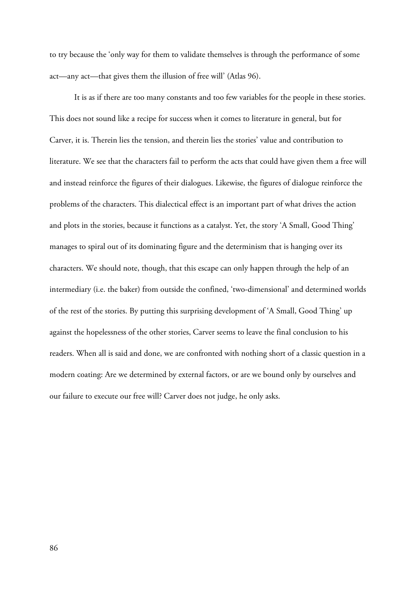to try because the 'only way for them to validate themselves is through the performance of some act—any act—that gives them the illusion of free will' (Atlas 96).

It is as if there are too many constants and too few variables for the people in these stories. This does not sound like a recipe for success when it comes to literature in general, but for Carver, it is. Therein lies the tension, and therein lies the stories' value and contribution to literature. We see that the characters fail to perform the acts that could have given them a free will and instead reinforce the figures of their dialogues. Likewise, the figures of dialogue reinforce the problems of the characters. This dialectical effect is an important part of what drives the action and plots in the stories, because it functions as a catalyst. Yet, the story 'A Small, Good Thing' manages to spiral out of its dominating figure and the determinism that is hanging over its characters. We should note, though, that this escape can only happen through the help of an intermediary (i.e. the baker) from outside the confined, 'two-dimensional' and determined worlds of the rest of the stories. By putting this surprising development of 'A Small, Good Thing' up against the hopelessness of the other stories, Carver seems to leave the final conclusion to his readers. When all is said and done, we are confronted with nothing short of a classic question in a modern coating: Are we determined by external factors, or are we bound only by ourselves and our failure to execute our free will? Carver does not judge, he only asks.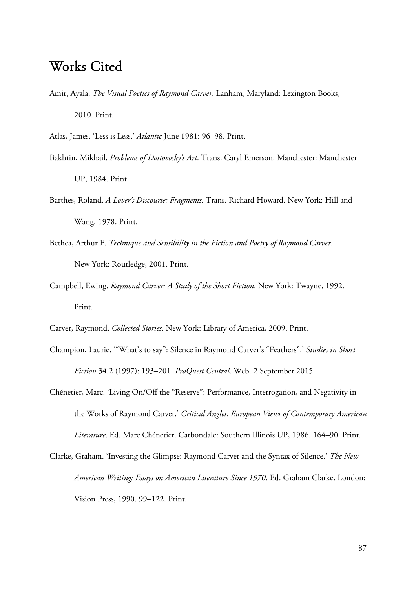# Works Cited

Amir, Ayala. *The Visual Poetics of Raymond Carver*. Lanham, Maryland: Lexington Books, 2010. Print.

Atlas, James. 'Less is Less.' *Atlantic* June 1981: 96–98. Print.

- Bakhtin, Mikhail. *Problems of Dostoevsky's Art*. Trans. Caryl Emerson. Manchester: Manchester UP, 1984. Print.
- Barthes, Roland. *A Lover's Discourse: Fragments*. Trans. Richard Howard. New York: Hill and Wang, 1978. Print.
- Bethea, Arthur F. *Technique and Sensibility in the Fiction and Poetry of Raymond Carver*. New York: Routledge, 2001. Print.
- Campbell, Ewing. *Raymond Carver: A Study of the Short Fiction*. New York: Twayne, 1992. Print.
- Carver, Raymond. *Collected Stories*. New York: Library of America, 2009. Print.
- Champion, Laurie. '"What's to say": Silence in Raymond Carver's "Feathers".' *Studies in Short Fiction* 34.2 (1997): 193–201. *ProQuest Central*. Web. 2 September 2015.
- Chénetier, Marc. 'Living On/Off the "Reserve": Performance, Interrogation, and Negativity in the Works of Raymond Carver.' *Critical Angles: European Views of Contemporary American Literature*. Ed. Marc Chénetier. Carbondale: Southern Illinois UP, 1986. 164–90. Print.
- Clarke, Graham. 'Investing the Glimpse: Raymond Carver and the Syntax of Silence.' *The New American Writing: Essays on American Literature Since 1970*. Ed. Graham Clarke. London: Vision Press, 1990. 99–122. Print.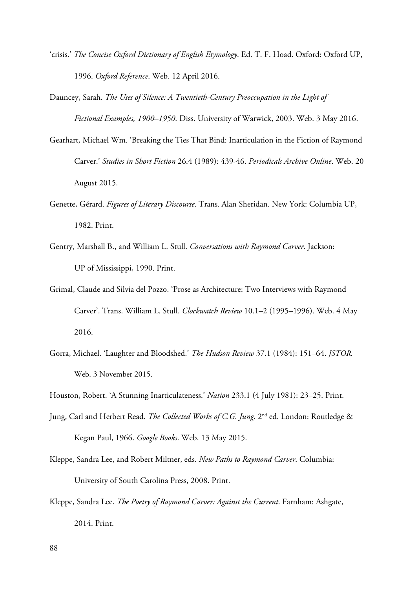- 'crisis.' *The Concise Oxford Dictionary of English Etymology*. Ed. T. F. Hoad. Oxford: Oxford UP, 1996. *Oxford Reference*. Web. 12 April 2016.
- Dauncey, Sarah. *The Uses of Silence: A Twentieth-Century Preoccupation in the Light of Fictional Examples, 1900–1950*. Diss. University of Warwick, 2003. Web. 3 May 2016.
- Gearhart, Michael Wm. 'Breaking the Ties That Bind: Inarticulation in the Fiction of Raymond Carver.' *Studies in Short Fiction* 26.4 (1989): 439-46. *Periodicals Archive Online*. Web. 20 August 2015.
- Genette, Gérard. *Figures of Literary Discourse*. Trans. Alan Sheridan. New York: Columbia UP, 1982. Print.
- Gentry, Marshall B., and William L. Stull. *Conversations with Raymond Carver*. Jackson: UP of Mississippi, 1990. Print.
- Grimal, Claude and Silvia del Pozzo. 'Prose as Architecture: Two Interviews with Raymond Carver'. Trans. William L. Stull. *Clockwatch Review* 10.1–2 (1995–1996). Web. 4 May 2016.
- Gorra, Michael. 'Laughter and Bloodshed.' *The Hudson Review* 37.1 (1984): 151–64. *JSTOR*. Web. 3 November 2015.

- Jung, Carl and Herbert Read. *The Collected Works of C.G. Jung*. 2<sup>nd</sup> ed. London: Routledge & Kegan Paul, 1966. *Google Books*. Web. 13 May 2015.
- Kleppe, Sandra Lee, and Robert Miltner, eds. *New Paths to Raymond Carver*. Columbia: University of South Carolina Press, 2008. Print.
- Kleppe, Sandra Lee. *The Poetry of Raymond Carver: Against the Current*. Farnham: Ashgate, 2014. Print.

Houston, Robert. 'A Stunning Inarticulateness.' *Nation* 233.1 (4 July 1981): 23–25. Print.